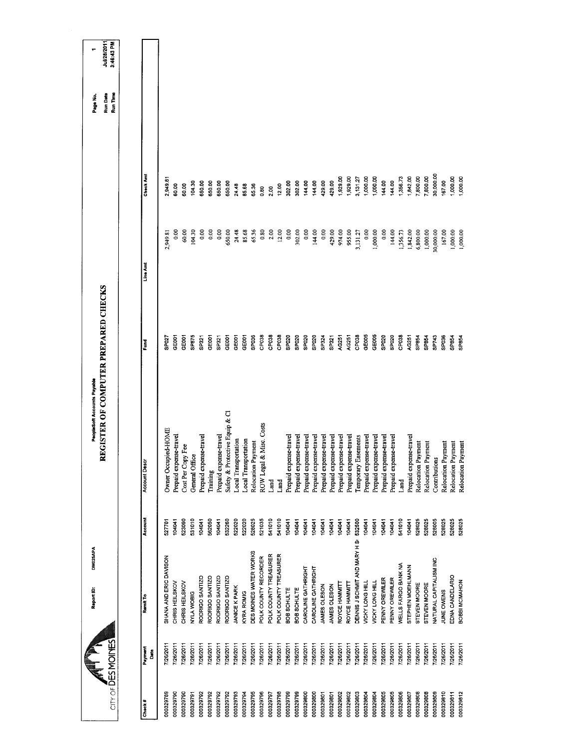| $CITY$ of $\overline{D}ES$ MOINES |              | <b>DM025APA</b><br>Report ID: |         | REGISTER OF COMPUTER PREPARED CHECKS<br>PeopleSoft Accounts Payable |                   |           |                  | Run Time<br>Run Date<br>Page No. | Jul/28/2011<br>3:46:43 PM<br>٣ |
|-----------------------------------|--------------|-------------------------------|---------|---------------------------------------------------------------------|-------------------|-----------|------------------|----------------------------------|--------------------------------|
|                                   |              |                               |         |                                                                     |                   |           |                  |                                  |                                |
| Check#                            | Payment<br>å | Remit To                      | Account | Account Desci                                                       | Eund              | Line Amt  | <b>Check And</b> |                                  |                                |
| 000329789                         | 7/26/2011    | SHANA AND ERIC DAVISON        | 527701  | Owner Occupied-HOME                                                 | SPO27             | 2,949.81  | 2,949.81         |                                  |                                |
| 000329790                         | 7/26/2011    | CHRIS HEILSKOV                | 104041  | Prepaid expense-travel                                              | GEOOT             | 0.00      | 60.00            |                                  |                                |
| 000329790                         | 7/26/2011    | CHRIS HEILSKOV                | 523090  | Cost Per Copy Fee                                                   | <b>POSE</b>       | 60.00     | 50.00            |                                  |                                |
| 000329791                         | 7/26/2011    | NYLA WOBIG                    | 531010  | General Office                                                      | SP875             | 104.30    | 104.30           |                                  |                                |
| 000329792                         | 7/26/2011    | RODRIGO SANTIZO               | 104041  | Prepaid expense-travel                                              | SP321             | 0.00      | 650.00           |                                  |                                |
| 000329792                         | 7/26/2011    | RODRIGO SANTIZO               | 562050  | Training                                                            | <b>GEOOT</b>      | 0.00      | 650.00           |                                  |                                |
| 000329792                         | 7/26/2011    | RODRIGO SANTIZO               | 104041  | Prepaid expense-travel                                              | SP321             | 0.00      | 650.00           |                                  |                                |
| 000329792                         | 7/26/2011    | RODRIGO SANTIZO               | 532260  | Safety & Protective Equip & Cl                                      | GEOD1             | 650.00    | 650.00           |                                  |                                |
| 000329793                         | 7/26/2011    | <b>JANICE K PARK</b>          | 522020  | Local Transportation                                                | <b>GEOOT</b>      | 24.48     | 24.48            |                                  |                                |
| 000329794                         | 7/26/2011    | KYRA ROMIG                    | 522020  | <b>Local Transportation</b>                                         | GE001             | 85.68     | 85.68            |                                  |                                |
| 000329795                         | 7/26/2011    | DES MOINES WATER WORKS        | 528025  | Relocation Payment                                                  | SPO36             | 65.36     | 65.36            |                                  |                                |
| 000329796                         | 7/26/2011    | POLK COUNTY RECORDER          | 521035  | & Misc. Costs<br>ROW Legal                                          | CP038             | 0.80      | 8.6              |                                  |                                |
| 000329797                         | 7/26/2011    | POLK COUNTY TREASURER         | 541010  | Land                                                                | CP <sub>038</sub> | 2.00      | 2.00             |                                  |                                |
| 000329798                         | 7/26/2011    | POLK COUNTY TREASURER         | 541010  | Land                                                                | CP038             | 12.00     | 12.00            |                                  |                                |
| 000329799                         | 7/26/2011    | BOB SCHULTE                   | 104041  | Prepaid expense-travel                                              | SP <sub>020</sub> | 0.00      | 302.00           |                                  |                                |
| 000329799                         | 7/26/2011    | BOB SCHULTE                   | 104041  | Prepaid expense-travel                                              | SP020             | 302.00    | 302.00           |                                  |                                |
| 008229800                         | 7/26/2011    | CAROLINE GATHRIGHT            | 104041  | Prepaid expense-travel                                              | SP020             | 0.00      | 144.00           |                                  |                                |
| 000329800                         | 7/26/2011    | CAROLINE GATHRIGHT            | 104041  | Prepaid expense-travel                                              | SP020             | 144.00    | 144.00           |                                  |                                |
| 000329801                         | 7/26/2011    | JAMES OLESON                  | 104041  | Prepaid expense-travel                                              | SP324             | 0.00      | 429,00           |                                  |                                |
| 000329801                         | 7/26/2011    | JAMES OLESON                  | 104041  | Prepaid expense-travel                                              | SP321             | 429.00    | 429.00           |                                  |                                |
| 000329802                         | 7/26/2011    | ROYCE HAMMITT                 | 104041  | Prepaid expense-travel                                              | AG251             | 974.00    | 1,929.00         |                                  |                                |
| 000329802                         | 7/26/2011    | ROYCE HAMMITT                 | 104041  | Prepaid expense-travel                                              | AG251             | 955.00    | 1,929.00         |                                  |                                |
| 000329803                         | 1/26/2011    | DENNIS J SCHMIT AND MARY H SH | 532500  | Temporary Easements                                                 | CP038             | 3,131.27  | 3,131.27         |                                  |                                |
| 000329804                         | 7/26/2011    | VICKY LONG HILL               | 104041  | Prepaid expense-travel                                              | GEOOS             | 0.00      | 1,000.00         |                                  |                                |
| 000329804                         | 7/26/2011    | VICKY LONG HILL               | 104041  | Prepaid expense-travel                                              | GE005             | 1,000.00  | 1,000.00         |                                  |                                |
| 000329805                         | 7/26/2011    | PENNY OREWILER                | 104041  | Prepaid expense-travel                                              | SP <sub>020</sub> | 0.00      | 144.00           |                                  |                                |
| 000329805                         | 7/26/2011    | PENNY OREWILER                | 104041  | Prepaid expense-travel                                              | SP020             | 144.00    | 144.00           |                                  |                                |
| 000329806                         | 7/26/2011    | WELLS FARGO BANK NA           | 541010  | Land                                                                | CP038             | 1,356.73  | 1,356.73         |                                  |                                |
| 000329807                         | 7/26/2011    | STEPHEN MOEHLMANN             | 104041  | Prepaid expense-travel                                              | AG251             | 1,842.00  | 1,842.00         |                                  |                                |
| 000329808                         | 7/26/2011    | STEVEN MOORE                  | 528025  | Relocation Payment                                                  | SP854             | 6,800.00  | 7,800.00         |                                  |                                |
| 000329808                         | 7/28/2011    | STEVEN MOORE                  | 528025  | Relocation Payment                                                  | SP854             | 1,000.00  | 7,800.00         |                                  |                                |
| 000329809                         | 7/26/2011    | NATURAL CAPITALISM INC        | 528005  | Contributions                                                       | SP743             | 10,000.00 | 30,000.00        |                                  |                                |
| 000329810                         | 7/26/2011    | JUNE OWENS                    | 528025  | Relocation Payment                                                  | SPO36             | 167.00    | 167.00           |                                  |                                |
| 000329811                         | 1/26/2011    | EDNA CANDELARIO               | 528025  | Relocation Payment                                                  | SP854             | 1,000.00  | 1,000.00         |                                  |                                |
| 000329812                         | 7/26/2011    | BOBBI MCMAHON                 | 528025  | Relocation Payment                                                  | SP854             | 1,000.00  | 1,000.00         |                                  |                                |
|                                   |              |                               |         |                                                                     |                   |           |                  |                                  |                                |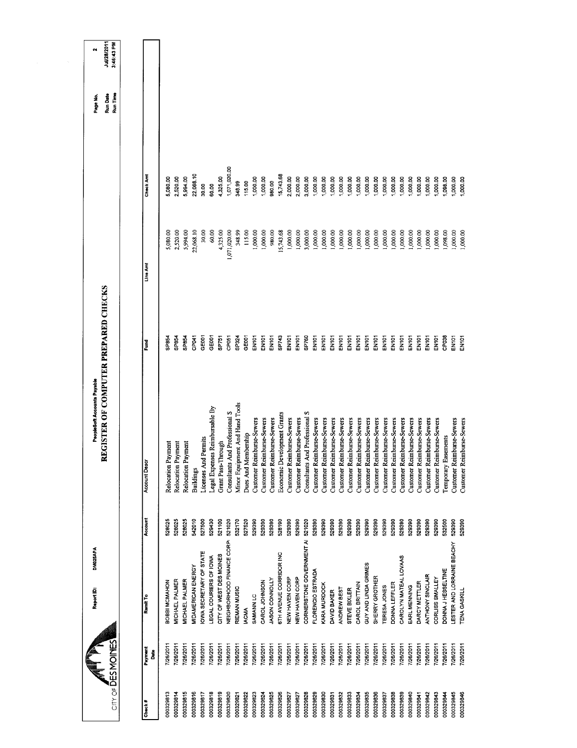| City of DES MOINES |                           | DM025APA<br>Report ID:     |         | <b>REGISTER OF COMPUTER PREPARED CHECKS</b><br>PeopleSoft Accounts Payable |                   |              | Run Time<br>Run Date<br>Page No. | Jul/28/2011<br>3:46:43 PM<br>$\ddot{\phantom{0}}$ |
|--------------------|---------------------------|----------------------------|---------|----------------------------------------------------------------------------|-------------------|--------------|----------------------------------|---------------------------------------------------|
|                    |                           |                            |         |                                                                            |                   |              |                                  |                                                   |
| Payment<br>Check # | Date                      | Remit To                   | Account | Account Descr                                                              | Euro              | Line Amt     | Check Amt                        |                                                   |
| 000329813          | 7/26/2011                 | BOBBI MCMAHON              | 528025  | Relocation Payment                                                         | SP854             | 5,080.00     | 5,080.00                         |                                                   |
| 000329814          | 7/26/2011                 | MICHAEL PALMER             | 528025  | Relocation Payment                                                         | SP854             | 2,520.00     | 2,520.00                         |                                                   |
| 000329815          | 7/26/2011                 | MICHAEL PALMER             | 528025  | Relocation Payment                                                         | SP854             | 5,994.00     | 5,994.00                         |                                                   |
| 000329816          | 7/26/2011                 | MIDAMERICAN ENERGY         | 542010  | <b>Buildings</b>                                                           | CP041             | 22,068.10    | 22,068.10                        |                                                   |
| 000329817          | 7/26/2011                 | OWA SECRETARY OF STATE     | 527500  | Permits<br>Licenses And                                                    | GE001             | 30.00        | 30.00                            |                                                   |
| 000329818          | 128/2011                  | LEGAL COURIERS OF IOWA     | 529430  | Legal Expenses Reimbursable By                                             | <b>GEOO1</b>      | 60.00        | 60.00                            |                                                   |
| 000329819          | 7/26/2011                 | CITY OF WEST DES MOINES    | 521100  | Grant Pass-Through                                                         | <b>SP751</b>      | 4,325.00     | 4,325.00                         |                                                   |
| 000329820          | 7/26/2011                 | NEIGHBORHOOD FINANCE CORPI | 521020  | Consultants And Professional S                                             | CP051             | 1,071,020.00 | 1,071,020.00                     |                                                   |
| 000329821          | 778/2011                  | RIEMAN MUSIC               | 532170  | Minor Equipment And Hand Tools                                             | SP324             | 348.99       | 348.99                           |                                                   |
| 000329822          | <b>IACMA</b><br>7/26/2011 |                            | 527520  | Dues And Membership                                                        | GE001             | 115.00       | 115.00                           |                                                   |
| 000329823          | SAMANN LC<br>7/26/2011    |                            | 529390  | Customer Reimburse-Sewers                                                  | EN101             | 1,000.00     | 1,000.00                         |                                                   |
| 000329824          | 7/26/2011                 | CAROL JOHNSON              | 529390  | Customer Reimburse-Sewers                                                  | EN101             | 1,000.00     | 1,000.00                         |                                                   |
| 000329825          | 7/26/2011                 | <b>JASON CONNOLLY</b>      | 529390  | Customer Reimburse-Sewers                                                  | EN101             | 980,00       | 980.00                           |                                                   |
| 000329826          | 7/26/2011                 | 6TH AVENUE CORRIDOR INC    | 528190  | Economic Development Grants                                                | SP743             | 15,743.68    | 15,743.68                        |                                                   |
| 000329827          | 7/26/2011                 | NEW HAVEN CORP             | 529390  | Customer Reimburse-Sewers                                                  | EN101             | 1,000.00     | 2,000.00                         |                                                   |
| 000329827          | 7/26/2011                 | NEW HAVEN CORP             | 529390  | Customer Reimburse-Sewers                                                  | EN101             | 1,000.00     | 2,000.00                         |                                                   |
| 000329828          | 126/2011                  | CORNERSTONE GOVERNMENT A   | 521020  | Consultants And Professional S                                             | SP760             | 3,000.00     | 3,000.00                         |                                                   |
| 000329829          | 7/26/2011                 | FLORENCIO ESTRADA          | 529390  | Customer Reimburse-Sewers                                                  | EN101             | 1,000.00     | 1,000,00                         |                                                   |
| 000329830          | 7/26/2011                 | KARA MURDOCK               | 529390  | Customer Reimburse-Sewers                                                  | EN101             | 1,000.00     | 1,000.00                         |                                                   |
| 000329831          | 7/26/2011                 | DAVID BAKER                | 529390  | Customer Reimburse-Sewers                                                  | EN101             | 1,000.00     | 1,000.00                         |                                                   |
| 000329832          | 7/26/2011                 | ANDREW BEST                | 529390  | Customer Reimburse-Sewers                                                  | EN101             | 1,000.00     | 1,000.00                         |                                                   |
| 000329833          | 7/26/2011                 | STEVE BIXLER               | 529390  | Customer Reimburse-Sewers                                                  | EN101             | 1,000.00     | 1,000.00                         |                                                   |
| 000329834          | 7/26/2011                 | CAROL BRITTAIN             | 529390  | Customer Reimburse-Sewers                                                  | EN <sub>101</sub> | 000.00       | 1,000,00                         |                                                   |
| 000329835          | 7/26/2011                 | GUY AND LINDA GRIMES       | 529390  | Customer Reimburse-Sewers                                                  | EN101             | 1,000.00     | 1,000.00                         |                                                   |
| 000329836          | 7/26/2011                 | SHERRY GROTHER             | 529390  | Customer Reimburse-Sewers                                                  | EN101             | 1,000.00     | 1,000.00                         |                                                   |
| 000329837          | 7/26/2011                 | TERESA JONES               | 529390  | Customer Reimburse-Sewers                                                  | EN101             | 00,000,1     | 1,000.00                         |                                                   |
| 000329838          | 7/26/2011                 | DONNA LEFFLER              | 529390  | Customer Reimburse-Sewers                                                  | EN101             | 00.000,      | 1,000.00                         |                                                   |
| 000329839          | 7/26/2011                 | CAROLYN MATEAL LOVAAS      | 529390  | Customer Reimburse-Sewers                                                  | EN101             | 1,000.00     | 1,000.00                         |                                                   |
| 000329840          | 7/26/2011                 | EARL MENNING               | 529390  | Customer Reimburse-Sewers                                                  | EN101             | 00.000,1     | 1,000.00                         |                                                   |
| 000329841          | 7/26/2011                 | DARCY METTLER              | 529390  | Customer Reimburse-Sewers                                                  | EN101             | 1,000.00     | 1,000.00                         |                                                   |
| 000329842          | 7/26/2011                 | <b>ANTHONY SINCLAIR</b>    | 529390  | Customer Reimburse-Sewers                                                  | EN <sub>101</sub> | ,000,00      | 1,000.00                         |                                                   |
| 000329843          | 7/26/2011                 | CORLISS SMALLEY            | 529390  | Customer Reimburse-Sewers                                                  | EN <sub>101</sub> | ,000.00      | 1,000.00                         |                                                   |
| 000329844          | 7/28/2011                 | DONNA J HESSELTINE         | 532500  | Temporary Easements                                                        | CP <sub>038</sub> | 1,098.00     | 1,098.00                         |                                                   |
| 000329845          | 7/26/2011                 | LESTER AND LORRAINE BEACHY | 529390  | Customer Reimburse-Sewers                                                  | EN101             | 000001       | 1,000.00                         |                                                   |
| 000329846          | 7/26/2011                 | TENA GASKILL               | 529390  | Customer Reimburse-Sewers                                                  | <b>INTO</b>       | 1,000.00     | 1,000.00                         |                                                   |
|                    |                           |                            |         |                                                                            |                   |              |                                  |                                                   |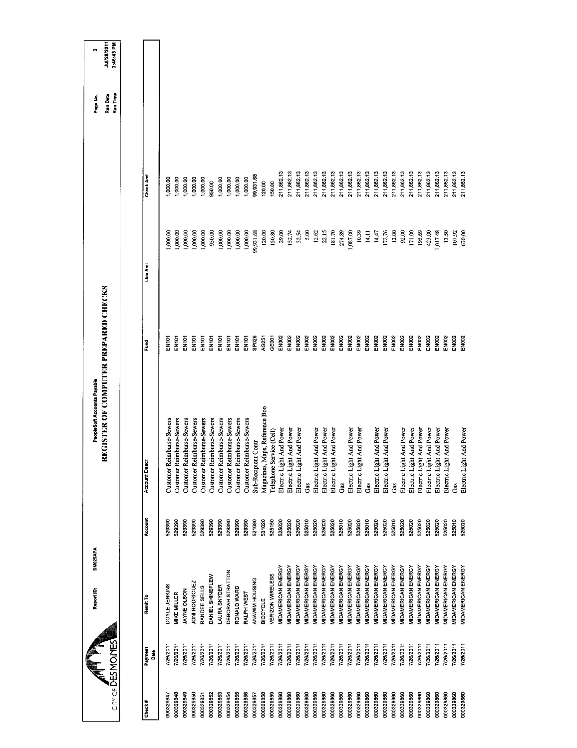| CITY OF DES MOINES |                 | DM025APA<br>Report ID:    |         | REGISTER OF COMPUTER PREPARED CHECKS<br>PeopleSoft Accounts Payable |                   |           |            | Run Time<br>Run Date<br>Page No. | Jul/28/2011<br>3:46:43 PM<br>m |
|--------------------|-----------------|---------------------------|---------|---------------------------------------------------------------------|-------------------|-----------|------------|----------------------------------|--------------------------------|
|                    |                 |                           |         |                                                                     |                   |           |            |                                  |                                |
| Check#             | Payment<br>Date | Remit To                  | Account | <b>Account Descr</b>                                                | Fund              | Line Amt  | Check Amt  |                                  |                                |
| 000329847          | 776/2011        | DOYLE JENKINS             | 529390  | Customer Reimburse-Sewers                                           | EN101             | 1,000.00  | 1,000.00   |                                  |                                |
| 000329848          | 7/26/2011       | <b>MIKE MILLER</b>        | 529390  | Customer Reimburse-Sewers                                           | <b>EN101</b>      | 1,000.00  | 1,000.00   |                                  |                                |
| 000329849          | 7/26/2011       | JAYNE OLSON               | 529390  | Customer Reimburse-Sewers                                           | EN'107            | 1,000.00  | 1,000.00   |                                  |                                |
| 000329850          | 7/26/2011       | JONI RODRIGUEZ            | 529390  | Customer Reimburse-Sewers                                           | EN101             | 1,000.00  | 1,000.00   |                                  |                                |
| 000329851          | 7/26/2011       | RANDEE SELLS              | 529390  | Customer Reimburse-Sewers                                           | EN <sub>101</sub> | 1,000.00  | 1,000.00   |                                  |                                |
| 000329852          | 7/26/2011       | DANIEL SHINEFLEW          | 529390  | Customer Reimburse-Sewers                                           | EN <sub>101</sub> | 950.00    | 950.00     |                                  |                                |
| 000329853          | 7/26/2011       | LAURA SNYDER              | 529390  | Customer Reimburse-Sewers                                           | EN <sub>101</sub> | 1,000.00  | 1,000.00   |                                  |                                |
| 000329854          | //26/2011       | DEBORAH STRATTON          | 529390  | Customer Reimburse-Sewers                                           | EN101             | 1,000.00  | 1,000.00   |                                  |                                |
| 000329855          | 7/26/2011       | RONALD WARD               | 529390  | Customer Reimburse-Sewers                                           | EN <sub>101</sub> | 1,000.00  | 1,000.00   |                                  |                                |
| 000329856          | 7/26/2011       | RALPH WEST                | 529390  | Customer Reimburse-Sewers                                           | EN101             | 1,000.00  | 1,000.00   |                                  |                                |
| 000329857          | 7/26/2011       | ANAWIM HOUSING            | 521080  | Sub-Recipient Contr                                                 | <b>SP029</b>      | 99,931.68 | 99,931.68  |                                  |                                |
| 000329858          | 7/26/2011       | <b>BIOCYCLE</b>           | 531020  | Maps, Reference Boo<br>Magazines,                                   | AG251             | 120.00    | 120.00     |                                  |                                |
| 000329859          | 7/26/2011       | VERIZON WIRELESS          | 525150  | Telephone Service (Cell)                                            | GEOCH             | 150.80    | 150.80     |                                  |                                |
| 000329860          | 7/26/2011       | <b>MIDAMERICAN ENERGY</b> | 525020  | Electric Light And Power                                            | EN <sub>DOZ</sub> | 29.00     | 211,862.13 |                                  |                                |
| 000329860          | 7/26/2011       | <b>MIDAMERICAN ENERGY</b> | 525020  | Electric Light And Power                                            | EN <sub>002</sub> | 152.74    | 211,862.13 |                                  |                                |
| 000329860          | 7/26/2011       | <b>MIDAMERICAN ENERGY</b> | 525020  | Electric Light And Power                                            | <b>EN002</b>      | 32.54     | 211,862.13 |                                  |                                |
| 000329860          | 7/26/2011       | <b>MIDAMERICAN ENERGY</b> | 525010  | Gas                                                                 | <b>EN002</b>      | 5.00      | 211,862.13 |                                  |                                |
| 000329860          | 7/26/2011       | MIDAMERICAN ENERGY        | 525020  | Electric Light And Power                                            | EN <sub>002</sub> | 12.62     | 211,862.13 |                                  |                                |
| 000329860          | 7/26/2011       | MIDAMERICAN ENERGY        | 525020  | Electric Light And Power                                            | <b>EN002</b>      | 22.15     | 211,862.13 |                                  |                                |
| 000329860          | 7/26/2011       | MIDAMERICAN ENERGY        | 525020  | Electric Light And Power                                            | EN002             | 181.70    | 211,862.13 |                                  |                                |
| 000329860          | 7/26/2011       | MIDAMERICAN ENERGY        | 525010  | Gas                                                                 | <b>EN002</b>      | 274.89    | 211,862.13 |                                  |                                |
| 000329860          | 7/26/2011       | <b>MIDAMERICAN ENERGY</b> | 525020  | Electric Light And Power                                            | EN <sub>002</sub> | 1,087.00  | 211,862.13 |                                  |                                |
| 000329860          | 7/26/2011       | MIDAMERICAN ENERGY        | 525020  | Electric Light And Power                                            | <b>EN002</b>      | 10.39     | 211,862.13 |                                  |                                |
| 000329860          | 7/26/2011       | MIDAMERICAN ENERGY        | 525010  | Gas                                                                 | EN002             | 14.11     | 211,862.13 |                                  |                                |
| 000329860          | 7/26/2011       | <b>MIDAMERICAN ENERGY</b> | 525020  | Electric Light And Power                                            | EN <sub>002</sub> | 1447      | 211,862.13 |                                  |                                |
| 000329860          | 7/26/2011       | <b>MIDAMERICAN ENERGY</b> | 525020  | Electric Light And Power                                            | <b>EN002</b>      | 172.76    | 211,862.13 |                                  |                                |
| 000329860          | 7/26/2011       | <b>MIDAMERICAN ENERGY</b> | 525010  | Gas                                                                 | <b>EN002</b>      | 12.00     | 211,862.13 |                                  |                                |
| 000329860          | 7/26/2011       | <b>MIDAMERICAN ENERGY</b> | 525020  | Electric Light And Power                                            | EN <sub>DO</sub>  | 92.00     | 211,862.13 |                                  |                                |
| 000329860          | 7/26/2011       | MIDAMERICAN ENERGY        | 525020  | Electric Light And Power                                            | EN002             | 171.00    | 211,862.13 |                                  |                                |
| 000329860          | 7/26/2011       | MIDAMERICAN ENERGY        | 525020  | Electric Light And Power                                            | EN <sub>002</sub> | 195.69    | 211,862.13 |                                  |                                |
| 000329860          | 7/26/2011       | <b>MIDAMERICAN ENERGY</b> | 525020  | Electric Light And Power                                            | EN <sub>DOZ</sub> | 423.00    | 211,862.13 |                                  |                                |
| 000329860          | 7/26/2011       | MIDAMERICAN ENERGY        | 525020  | Electric Light And Power                                            | EN <sub>002</sub> | 1,017.48  | 211,862.13 |                                  |                                |
| 000329860          | 7/26/2011       | MIDAMERICAN ENERGY        | 525020  | Electric Light And Power                                            | EN <sub>002</sub> | 13.50     | 211,862.13 |                                  |                                |
| 000329860          | 7/26/2011       | <b>MIDAMERICAN ENERGY</b> | 525010  | Gas                                                                 | <b>SONS</b>       | 107.92    | 211,862.13 |                                  |                                |
| 000329860          | 7/26/2011       | MIDAMERICAN ENERGY        | 525020  | Electric Light And Power                                            | END <sub>02</sub> | 670.00    | 211,862.13 |                                  |                                |
|                    |                 |                           |         |                                                                     |                   |           |            |                                  |                                |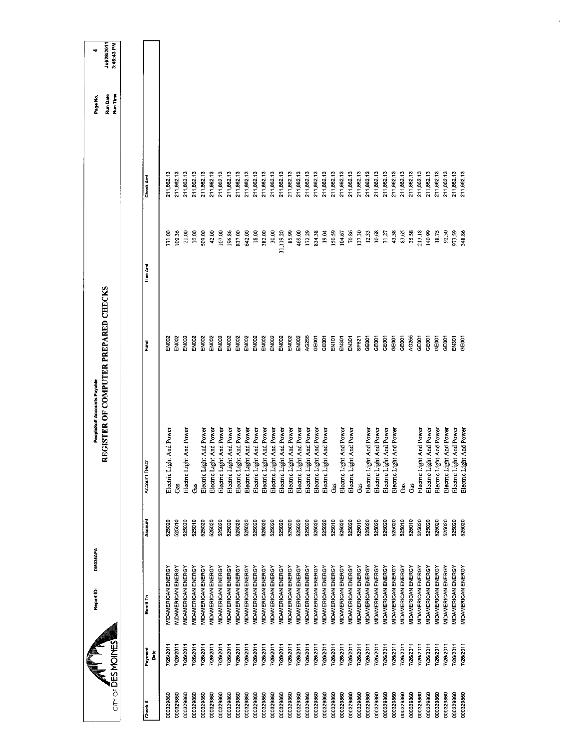|                         | DM025APA<br>Report ID:           |         | PeopleSoft Accounts Payable | REGISTER OF COMPUTER PREPARED CHECKS |           |            | Run Date<br>Page No. | Jul/28/2011<br>₩ |
|-------------------------|----------------------------------|---------|-----------------------------|--------------------------------------|-----------|------------|----------------------|------------------|
| $cm \times$ DESMOINES   |                                  |         |                             |                                      |           |            | Run Time             | 3:46:43 PM       |
|                         |                                  |         |                             |                                      |           |            |                      |                  |
| Payment<br>និ<br>Check# | Remit To                         | Account | <b>Account Descr</b>        | Fund                                 | Line Amt  | Check Amt  |                      |                  |
| 7/26/2011<br>000329860  | MIDAMERICAN ENERGY               | 525020  | Electric Light And Power    | EN <sub>002</sub>                    | 331.00    | 211,862.13 |                      |                  |
| 7/26/2011<br>000329860  | MIDAMERICAN ENERGY               | 525010  | å                           | <b>EN002</b>                         | 100.36    | 211,862 13 |                      |                  |
| 7/26/2011<br>000329860  | MIDAMERICAN ENERGY               | 525020  | Electric Light And Power    | EN <sub>02</sub>                     | 21.00     | 211,862.13 |                      |                  |
| 7/26/2011<br>000329860  | MIDAMERICAN ENERGY               | 525010  | Gas                         | EN <sub>002</sub>                    | 10.00     | 211,862.13 |                      |                  |
| 7/26/2011<br>000329860  | MIDAMERICAN ENERGY               | 525020  | Electric Light And Power    | EN <sub>002</sub>                    | 509,00    | 211,862.13 |                      |                  |
| 7/26/2011<br>000329860  | <b>MIDAMERICAN ENERGY</b>        | 525020  | Electric Light And Power    | EN <sub>002</sub>                    | 42.00     | 211,862.13 |                      |                  |
| 7/26/2011<br>000329860  | <b>MIDAMERICAN ENERGY</b>        | 525020  | Electric Light And Power    | EN002                                | 107.00    | 211,862.13 |                      |                  |
| 7/26/2011<br>000329860  | <b>MIDAMERICAN ENERGY</b>        | 525020  | Electric Light And Power    | EN002                                | 196.86    | 211,862.13 |                      |                  |
| 7/26/2011<br>000329860  | <b>MIDAMERICAN ENERGY</b>        | 525020  | Electric Light And Power    | EN002                                | 837.00    | 211,862.13 |                      |                  |
| 7/26/2011<br>000329860  | <b>MIDAMERICAN ENERGY</b>        | 525020  | Electric Light And Power    | EN002                                | 642.00    | 211,862.13 |                      |                  |
| 7/28/2011<br>000329860  | <b><i>MIDAMERICAN ENERGY</i></b> | 525020  | Electric Light And Power    | EN <sub>002</sub>                    | 18.00     | 211,862.13 |                      |                  |
| 7/26/2011<br>000329860  | MIDAMERICAN ENERGY               | 525020  | Electric Light And Power    | EN <sub>002</sub>                    | 382.00    | 211,862.13 |                      |                  |
| 7/26/2011<br>000329860  | MIDAMERICAN ENERGY               | 525020  | Electric Light And Power    | EN002                                | 30,00     | 211,862.13 |                      |                  |
| 7/26/2011<br>000329860  | <b>MIDAMERICAN ENERGY</b>        | 525020  | Electric Light And Power    | EN <sub>002</sub>                    | 31,119.20 | 211,862.13 |                      |                  |
| 7/26/2011<br>000329860  | <b>MIDAMERICAN ENERGY</b>        | 525020  | Electric Light And Power    | EN <sub>002</sub>                    | 85,99     | 211,862.13 |                      |                  |
| 7/26/2011<br>000329860  | MIDAMERICAN ENERGY               | 525020  | Electric Light And Power    | EN <sub>002</sub>                    | 469.00    | 211,862.13 |                      |                  |
| 7/26/2011<br>00329860   | MIDAMERICAN ENERGY               | 525020  | Electric Light And Power    | AG255                                | 172.29    | 211,862.13 |                      |                  |
| 7/26/2011<br>000329860  | MIDAMERICAN ENERGY               | 525020  | Electric Light And Power    | GE001                                | 834.38    | 211,862.13 |                      |                  |
| 7/26/2011<br>000329860  | MIDAMERICAN ENERGY               | 525020  | Electric Light And Power    | GEDOT                                | 19.04     | 211,862.13 |                      |                  |
| 7/26/2011<br>008929860  | MIDAMERICAN ENERGY               | 525010  | Gas                         | EN101                                | 150.59    | 211,862.13 |                      |                  |
| 7/26/2011<br>000329860  | MIDAMERICAN ENERGY               | 525020  | Electric Light And Power    | EN301                                | 104.67    | 211,862.13 |                      |                  |
| 7/26/2011<br>000329860  | MIDAMERICAN ENERGY               | 525020  | Electric Light And Power    | EN301                                | 70.86     | 211,862.13 |                      |                  |
| 7/26/2011<br>000329860  | MIDAMERICAN ENERGY               | 525010  | Gas                         | SP821                                | 137.30    | 211,862.13 |                      |                  |
| 7/26/2011<br>000329860  | MIDAMERICAN ENERGY               | 525020  | Electric Light And Power    | GEOOT                                | 12.33     | 211,862.13 |                      |                  |
| 726/2011<br>00329860    | MIDAMERICAN ENERGY               | 525020  | Electric Light And Power    | GE001                                | 10.68     | 211,862.13 |                      |                  |
| 7/26/2011<br>000329860  | MIDAMERICAN ENERGY               | 525020  | Electric Light And Power    | GE001                                | 31.27     | 211,862.13 |                      |                  |
| 726/2011<br>008229860   | MIDAMERICAN ENERGY               | 525020  | Electric Light And Power    | GE001                                | 43.58     | 211,862.13 |                      |                  |
| 7/26/2011<br>098622000  | MIDAMERICAN ENERGY               | 525010  | Gas                         | GE <sub>001</sub>                    | 83.65     | 211,862.13 |                      |                  |
| 7/26/2011<br>000329860  | MIDAMERICAN ENERGY               | 525010  | Gas                         | AG255                                | 35.58     | 211,862.13 |                      |                  |
| 7/28/2011<br>000329860  | MIDAMERICAN ENERGY               | 525020  | Electric Light And Power    | GE001                                | 213.18    | 211,862.13 |                      |                  |
| 7/26/2011<br>000329860  | MIDAMERICAN ENERGY               | 525020  | Electric Light And Power    | GE001                                | 140.99    | 211,862.13 |                      |                  |
| 726/2011<br>000329860   | MIDAMERICAN ENERGY               | 525020  | Electric Light And Power    | GE <sub>001</sub>                    | 18.75     | 211,862.13 |                      |                  |
| 126/2011<br>000329860   | <b>MIDAMERICAN ENERGY</b>        | 525020  | Electric Light And Power    | GE <sub>00</sub>                     | 92.50     | 211,862.13 |                      |                  |
| 7/26/2011<br>000329860  | MIDAMERICAN ENERGY               | 525020  | Electric Light And Power    | EN <sub>301</sub>                    | 973.59    | 211,862.13 |                      |                  |
| 7/26/2011<br>000329860  | MIDAMERICAN ENERGY               | 525020  | Electric Light And Power    | GE001                                | 348.86    | 211,862.13 |                      |                  |
|                         |                                  |         |                             |                                      |           |            |                      |                  |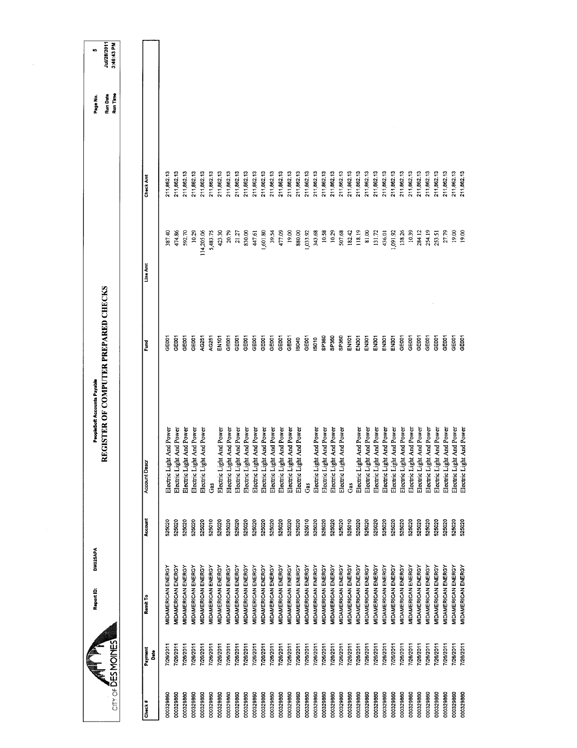|                                                  | DM025APA<br>Report ID:                                 |                  | <b>PeopleSoft Accounts Payable</b>                   | REGISTER OF COMPUTER PREPARED CHECKS |                        |                          | Page No.             | Jul/28/2011<br>s, |
|--------------------------------------------------|--------------------------------------------------------|------------------|------------------------------------------------------|--------------------------------------|------------------------|--------------------------|----------------------|-------------------|
| City of DES MOINES                               |                                                        |                  |                                                      |                                      |                        |                          | Run Time<br>Run Date | 3:46:43 PM        |
| Payment<br><b>Bate</b><br>Check#                 | Remit To                                               | Account          | Account Descr                                        | š                                    | Line Amt               | Check Amt                |                      |                   |
| 7/26/2011<br>000329860                           | MIDAMERICAN ENERGY                                     | 525020           | Electric Light And Power                             | GEOOT                                | 387.40                 | 211,862.13               |                      |                   |
| 7/26/2011<br>000329860                           | MIDAMERICAN ENERGY                                     | 525020           | Electric Light And Power                             | GE001                                | 474.86                 | 211,862.13               |                      |                   |
| 7/26/2011<br>000329860                           | <b>MIDAMERICAN ENERGY</b>                              | 525020           | Electric Light And Power                             | GE001                                | 592.70                 | 211,862.13               |                      |                   |
| 776/2011<br>000329860                            | MIDAMERICAN ENERGY                                     | 525020           | Electric Light And Power                             | GEOOT                                | 10.29                  | 211,862.13               |                      |                   |
| 7/26/2011<br>000329860<br>000329860              | <b>MIDAMERICAN ENERGY</b><br><b>MIDAMERICAN ENERGY</b> | 525020<br>525010 | Electric Light And Power                             | AG251<br>AC251                       | 114,205.06<br>5,483.75 | 211,862.13               |                      |                   |
| 7/26/2011<br>7/26/2011<br>000329860              | MIDAMERICAN ENERGY                                     | 525020           | Electric Light And Power<br>Gas                      | EN <sub>101</sub>                    | 423.30                 | 211,862.13<br>211,862.13 |                      |                   |
| 7/26/2011<br>000329860                           | <b>MIDAMERICAN ENERGY</b>                              | 525020           | Electric Light And Power                             | GEOOT                                | 20.79                  | 211,862.13               |                      |                   |
| 7/26/2011<br>000329860                           | <b>MIDAMERICAN ENERGY</b>                              | 525020           | Electric Light And Power                             | GE001                                | 21.27                  | 211,862.13               |                      |                   |
| 7/26/2011<br>000329860                           | <b>MIDAMERICAN ENERGY</b>                              | 525020           | Electric Light And Power                             | GEDDT                                | 830.00                 | 211,862.13               |                      |                   |
| 7/26/2011<br>7/26/2011<br>000329860<br>000329860 | MIDAMERICAN ENERGY<br>MIDAMERICAN ENERGY               | 525020<br>525020 | Electric Light And Power<br>Electric Light And Power | GE001<br>GE001                       | 1,601.80<br>447.61     | 211,862.13<br>211,862.13 |                      |                   |
| 7/28/2011<br>000329860                           | <b>MIDAMERICAN ENERGY</b>                              | 525020           | Electric Light And Power                             | GEOCT                                | 39.54                  | 211,862.13               |                      |                   |
| 7/26/2011<br>000329860                           | MIDAMERICAN ENERGY                                     | 525020           | Electric Light And Power                             | GEOOT                                | 477.09                 | 211,862.13               |                      |                   |
| 7/26/2011<br>000329860                           | MIDAMERICAN ENERGY                                     | 525020           | Electric Light And Power                             | GE <sub>001</sub>                    | 19.00                  | 211,862.13               |                      |                   |
| 7/26/2011<br>000329860                           | MIDAMERICAN ENERGY<br>MIDAMERICAN ENERGY               | 525020           | Electric Light And Power                             | GEOOT<br>IS040                       | 880.00                 | 211,862.13               |                      |                   |
| 7/26/2011<br>7/26/2011<br>000329860<br>000329860 | MIDAMERICAN ENERGY                                     | 525010<br>525020 | Electric Light And Power<br>Gas                      | IS010                                | 1,033.92<br>343.68     | 211,862.13<br>211,862.13 |                      |                   |
| 7/26/2011<br>000329860                           | MIDAMERICAN ENERGY                                     | 525020           | Electric Light And Power                             | SP360                                | 10.58                  | 211,862.13               |                      |                   |
| 7/26/2011<br>000329860                           | <b>MIDAMERICAN ENERGY</b>                              | 525020           | Electric Light And Power                             | SP360                                | 10.29                  | 211,862.13               |                      |                   |
| 7/26/2011<br>000329860                           | MIDAMERICAN ENERGY                                     | 525020           | Electric Light And Power                             | SP360                                | 507.68                 | 211,862.13               |                      |                   |
| 7/26/2011<br>7/26/2011<br>000329860<br>000329860 | MIDAMERICAN ENERGY<br>MIDAMERICAN ENERGY               | 525010<br>525020 | Gas                                                  | EN <sub>101</sub><br>EN301           | 118.19<br>182.42       | 211,862.13<br>211,862.13 |                      |                   |
| 7/26/2011<br>000329860                           | MIDAMERICAN ENERGY                                     | 525020           | Electric Light And Power<br>Electric Light And Power | EN301                                | 81.00                  | 211,862.13               |                      |                   |
| 7/26/2011<br>000329860                           | MIDAMERICAN ENERGY                                     | 525020           | Electric Light And Power                             | EN301                                | 131.72                 | 211,862.13               |                      |                   |
| 7/26/2011<br>000329860                           | MIDAMERICAN ENERGY                                     | 525020           | Electric Light And Power                             | EN301                                | 436.01                 | 211,862.13               |                      |                   |
| 7/26/2011<br>000329860                           | MIDAMERICAN ENERGY                                     | 525020           | Electric Light And Power                             | EN301                                | 1,091.92               | 211,862.13               |                      |                   |
| 7/26/2011<br>000329860                           | MIDAMERICAN ENERGY                                     | 525020           | Electric Light And Power                             | GEODT                                | 138.26                 | 211,862.13               |                      |                   |
| 7/26/2011<br>000329860                           | MIDAMERICAN ENERGY                                     | 525020           | Electric Light And Power                             | GEOOT<br>GEODT                       | 10.39                  | 211,862.13               |                      |                   |
| 7/28/2011<br>7/26/2011<br>000329860<br>000329860 | MIDAMERICAN ENERGY<br>MIDAMERICAN ENERGY               | 525020<br>525020 | Electric Light And Power<br>Electric Light And Power | GE001                                | 254.19<br>284.12       | 211,862.13<br>211,862.13 |                      |                   |
| 7/26/2011<br>000329860                           | MIDAMERICAN ENERGY                                     | 525020           | Electric Light And Power                             | GE001                                | 253.51                 | 211,862.13               |                      |                   |
| 7/26/2011<br>000329860                           | MIDAMERICAN ENERGY                                     | 525020           | Electric Light And Power                             | GE001                                | 27.79                  | 211,862.13               |                      |                   |
| 7/26/2011<br>000329860                           | <b>MIDAMERICAN ENERGY</b>                              | 525020           | Electric Light And Power                             | GEOOT                                | 19,00                  | 211,862.13               |                      |                   |
| 7/26/2011<br>000329860                           |                                                        |                  |                                                      |                                      |                        |                          |                      |                   |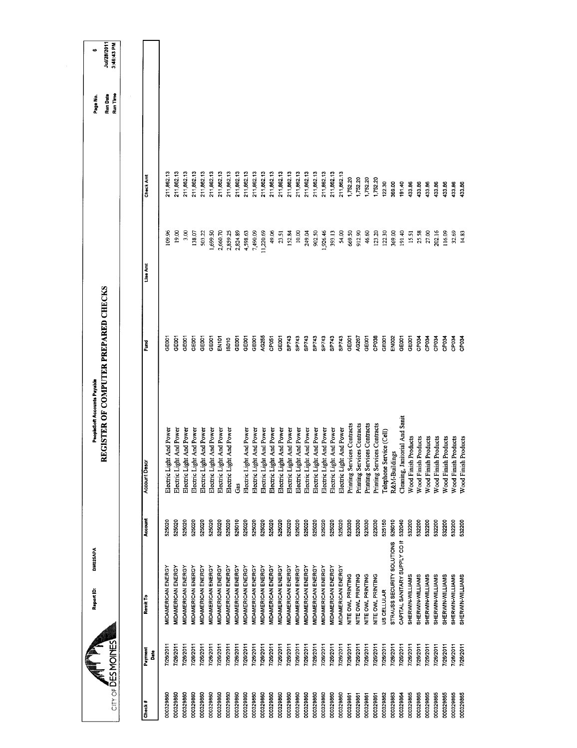|                    |              | DM025APA<br>Report ID:           |         | REGISTER OF COMPUTER PREPARED CHECKS<br>PeopleSoft Accounts Payable |                   |           |            | Page No.             | ¢                         |
|--------------------|--------------|----------------------------------|---------|---------------------------------------------------------------------|-------------------|-----------|------------|----------------------|---------------------------|
| City of DES MOINES |              |                                  |         |                                                                     |                   |           |            | Run Date<br>Run Time | Jul/28/2011<br>3:46:43 PM |
|                    |              |                                  |         |                                                                     |                   |           |            |                      |                           |
| Check#             | Payment<br>Č | Remit To                         | Account | Account Desci                                                       | Fund              | Line Amt  | Check Amt  |                      |                           |
| 000329860          | 7/26/2011    | MIDAMERICAN ENERGY               | 525020  | Electric Light And Power                                            | <b>SEDOT</b>      | 109.96    | 211,862.13 |                      |                           |
| 000329860          | 126/2011     | <b>JIDAMERICAN ENERGY</b>        | 525020  | Electric Light And Power                                            | <b>SEOOT</b>      | 19.00     | 211,862.13 |                      |                           |
| 000329860          | 7/26/2011    | MIDAMERICAN ENERGY               | 525020  | Electric Light And Power                                            | GE001             | 3.00      | 211,862.13 |                      |                           |
| 000329860          | 7/26/2011    | MIDAMERICAN ENERGY               | 525020  | Electric Light And Power                                            | <b>GEOOT</b>      | 138.07    | 211,862.13 |                      |                           |
| 000329860          | 7/26/2011    | <b>MIDAMERICAN ENERGY</b>        | 525020  | Electric Light And Power                                            | GE007             | 503.22    | 211,862.13 |                      |                           |
| 000329860          | 7/26/2011    | MIDAMERICAN ENERGY               | 525020  | Electric Light And Power                                            | GEDOT             | 1,699.50  | 211,862.13 |                      |                           |
| 000329860          | 7/26/2011    | MIDAMERICAN ENERGY               | 525020  | Electric Light And Power                                            | EN <sub>101</sub> | 2,660.70  | 211,862.13 |                      |                           |
| 000329860          | 7/26/2011    | <b>MIDAMERICAN ENERGY</b>        | 525020  | Electric Light And Power                                            | S010              | 2,859.25  | 211,862.13 |                      |                           |
| 000329860          | 7/26/2011    | MIDAMERICAN ENERGY               | 525010  | Gas                                                                 | GEDOT             | 2,824.89  | 211,862.13 |                      |                           |
| 000329860          | //26/2011    | <b>MIDAMERICAN ENERGY</b>        | 525020  | Electric Light And Power                                            | GE001             | 4,598.63  | 211,862.13 |                      |                           |
| 000329860          | 1/26/2011    | <b>VIDAMERICAN ENERGY</b>        | 525020  | Electric Light And Power                                            | <b>SEDOT</b>      | 7,490.09  | 211,862.13 |                      |                           |
| 000329860          | 7/26/2011    | <b>MIDAMERICAN ENERGY</b>        | 525020  | Electric Light And Power                                            | AG255             | 11,220.69 | 211,86213  |                      |                           |
| 000329860          | 7/26/2011    | <b>MIDAMERICAN ENERGY</b>        | 525020  | Electric Light And Power                                            | CP051             | 49.06     | 211,862.13 |                      |                           |
| 000329860          | 126/2011     | <b>VIDAMERICAN ENERGY</b>        | 525020  | Electric Light And Power                                            | GEOOT             | 23,51     | 211,862.13 |                      |                           |
| 000329860          | 7/28/2011    | MIDAMERICAN ENERGY               | 525020  | Electric Light And Power                                            | SP743             | 152.84    | 211,862.13 |                      |                           |
| 000329860          | 7/26/2011    | <b>MIDAMERICAN ENERGY</b>        | 525020  | Electric Light And Power                                            | SP743             | 10.00     | 211,862.13 |                      |                           |
| 000329860          | 126/2011     | <b><i>AIDAMERICAN ENERGY</i></b> | 525020  | Electric Light And Power                                            | SP743             | 249,04    | 211,862.13 |                      |                           |
| 000329860          | 7/26/2011    | MIDAMERICAN ENERGY               | 525020  | Electric Light And Power                                            | SP743             | 902.50    | 211,862.13 |                      |                           |
| 000329860          | 7/26/2011    | MIDAMERICAN ENERGY               | 525020  | Electric Light And Power                                            | SP743             | 1,926.46  | 211,862 13 |                      |                           |
| 000329860          | 126/2011     | <b>MIDAMERICAN ENERGY</b>        | 525020  | Electric Light And Power                                            | SP743             | 393.13    | 211,862.13 |                      |                           |
| 000329860          | 7/26/2011    | MIDAMERICAN ENERGY               | 525020  | Electric Light And Power                                            | SP743             | 54.00     | 211,862.13 |                      |                           |
| 000329861          | 7/26/2011    | NITE OWL PRINTING                | 523030  | Printing Services Contracts                                         | GEOOT             | 669.50    | 1,752 20   |                      |                           |
| 000329861          | 126/2011     | NITE OWL PRINTING                | 523030  | Printing Services Contracts                                         | AG267             | 912.90    | 1,752.20   |                      |                           |
| 000329861          | 7/26/2011    | NITE OWL PRINTING                | 523030  | Printing Services Contracts                                         | GE001             | 46,60     | 1,752 20   |                      |                           |
| 000329861          | 7/26/2011    | NITE OWL PRINTING                | 523030  | Printing Services Contracts                                         | CP <sub>038</sub> | 123.20    | 1,752 20   |                      |                           |
| 000329862          | 128/2011     | <b>US CELLULAR</b>               | 525150  | Telephone Service (Cell)                                            | <b>GEOOT</b>      | 122.30    | 122.30     |                      |                           |
| 000329863          | 7/26/2011    | STRAUSS SECURITY SOLUTIONS       | 526010  | R&M-Buildings                                                       | EN <sub>002</sub> | 369.00    | 369.00     |                      |                           |
| 000329864          | 7/26/2011    | CAPITAL SANITARY SUPPLY CO II    | 532040  | Cleaning, Janitorial And Sanit                                      | <b>GEOOT</b>      | 191.40    | 191.40     |                      |                           |
| 000329865          | 7/26/2011    | SHERWIN-WILLIAMS                 | 532200  | Wood Finish Products                                                | GEOOT             | 15.51     | 433.86     |                      |                           |
| 000329865          | 1/26/2011    | SHERWIN-WILLIAMS                 | 532200  | Wood Finish Products                                                | CF <sub>034</sub> | 25.58     | 433.86     |                      |                           |
| 000329865          | 7/28/2011    | SHERWIN-WILLIAMS                 | 532200  | Wood Finish Products                                                | CP <sub>034</sub> | 27.00     | 433.86     |                      |                           |
| 000329865          | 726/2011     | SHERWIN-WILLIAMS                 | 532200  | Products<br>Wood Finish                                             | CPO3              | 202.16    | 433.86     |                      |                           |
| 000329865          | 126/2011     | SHERWIN-WILLIAMS                 | 532200  | Wood Finish Products                                                | <b>GPO3</b>       | 116.09    | 433.86     |                      |                           |
| 000329865          | 1/28/2011    | SHERWIN-WILLIAMS                 | 532200  | Wood Finish Products                                                | CP034             | 32.69     | 433.86     |                      |                           |
| 000329865          | 7/26/2011    | SHERWIN-WILLIAMS                 | 532200  | Products<br>Wood Finish                                             | <b>CPO34</b>      | 14.83     | 433.86     |                      |                           |
|                    |              |                                  |         |                                                                     |                   |           |            |                      |                           |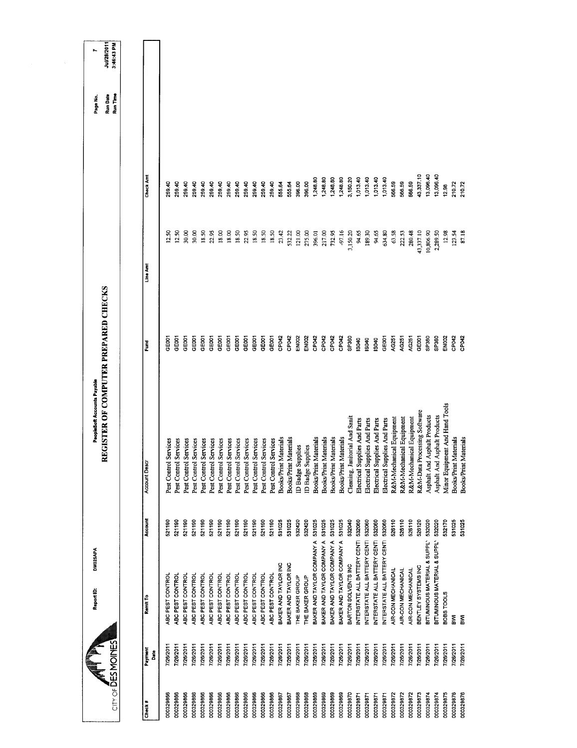|                            | Report ID:                   | <b>DM025APA</b> | REGISTER OF COMPUTER PREPARED CHECKS<br>PeopleSoft Accounts Payable |                   |           |                  | <b>Run Date</b><br>Page No. | Jul/28/2011<br>ŀ. |
|----------------------------|------------------------------|-----------------|---------------------------------------------------------------------|-------------------|-----------|------------------|-----------------------------|-------------------|
| CITY OF DES MOINES         |                              |                 |                                                                     |                   |           |                  | Run Time                    | 3:46:43 PM        |
| Payment<br>Date<br>Check # | Remit To                     | Account         | <b>Account Desci</b>                                                | Fund              | Line Amt  | <b>Check Ant</b> |                             |                   |
| 7/26/2011<br>000329866     | ABC PEST CONTROL             | 521190          | Services<br>Pest Control                                            | <b>GEOOT</b>      | 12.50     | 259.40           |                             |                   |
| 7/26/2011<br>000329866     | ABC PEST CONTROL             | 521190          | Services<br>Pest Control                                            | GEOOT             | 12.50     | 259.40           |                             |                   |
| 7/26/2011<br>000329866     | ABC PEST CONTROL             | 521190          | Services<br>Pest Control                                            | GE001             | 30,00     | 259.40           |                             |                   |
| 7/26/2011<br>000329866     | ABC PEST CONTROL             | 521190          | Services<br>Pest Control                                            | GEDOT             | 30.00     | 259.40           |                             |                   |
| 7/26/2011<br>000329866     | ABC PEST CONTROL             | 521190          | Services<br>Pest Control                                            | GEDOT             | 18.50     | 259.40           |                             |                   |
| 7/26/2011<br>000329866     | ABC PEST CONTROL             | 521190          | Services<br>Pest Control                                            | <b>CEROT</b>      | 22.95     | 259.40           |                             |                   |
| 7/26/2011<br>000329866     | ABC PEST CONTROL             | 521190          | Services<br>Pest Control                                            | GE001             | 18.00     | 25940            |                             |                   |
| 7/26/2011<br>000329866     | ABC PEST CONTROL             | 521190          | Services<br>Pest Control                                            | <b>GEOO1</b>      | 18.00     | 259.40           |                             |                   |
| 7/26/2011<br>000329866     | ABC PEST CONTROL             | 521190          | Services<br>Pest Control                                            | GÉOOT             | 18.50     | 259.40           |                             |                   |
| 7/26/2011<br>000329866     | ABC PEST CONTROL             | 521190          | Services<br>Pest Control                                            | GE001             | 22.95     | 259.40           |                             |                   |
| 7/26/2011<br>000329866     | ABC PEST CONTROL             | 521190          | Services<br>Pest Control                                            | GE001             | 18.50     | 259.40           |                             |                   |
| 1/26/2011<br>000329866     | ABC PEST CONTROL             | 521190          | Services<br>Pest Control                                            | GEOOT             | 18.50     | 259.40           |                             |                   |
| 7/26/2011<br>000329866     | ABC PEST CONTROL             | 521190          | Services<br>Pest Control                                            | GE001             | 18.50     | 259.40           |                             |                   |
| 7/28/2011<br>000329867     | BAKER AND TAYLOR INC         | 531025          | Books/Print Materials                                               | CP042             | 23.42     | 555.64           |                             |                   |
| 126/2011<br>000329867      | BAKER AND TAYLOR INC         | 531025          | Books/Print Materials                                               | CP042             | 532.22    | 555.64           |                             |                   |
| 7/26/2011<br>000329868     | THE BAKER GROUP              | 532420          | ID Badge Supplies                                                   | EN002             | 121.00    | 396.00           |                             |                   |
| 7/26/2011<br>000329868     | THE BAKER GROUP              | 532420          | ID Badge Supplies                                                   | EN002             | 275,00    | 396.00           |                             |                   |
| 1/26/2011<br>000329869     | BAKER AND TAYLOR COMPANY A   | 531025          | Books/Print Materials                                               | CP042             | 396.01    | 1,248.80         |                             |                   |
| 7/26/2011<br>000329869     | BAKER AND TAYLOR COMPANY A   | 531025          | Books/Print Materials                                               | CP042             | 217.00    | 1,248.80         |                             |                   |
| 7/26/2011<br>000329869     | BAKER AND TAYLOR COMPANY A   | 531025          | Books/Print Materials                                               | CP042             | 732.95    | 1,248.80         |                             |                   |
| 7/26/2011<br>000329869     | BAKER AND TAYLOR COMPANY A   | 531025          | Books/Print Materials                                               | CP <sub>042</sub> | -97.16    | 1,248.80         |                             |                   |
| 7/26/2011<br>000329870     | BARTON SOLVENTS INC          | 532040          | Cleaning, Janitorial And Sanit                                      | SP360             | 3,150.20  | 3,150.20         |                             |                   |
| 7/26/2011<br>000329871     | INTERSTATE ALL BATTERY CENTI | 532060          | Electrical Supplies And Parts                                       | ISO40             | 94.65     | 1,013.40         |                             |                   |
| //26/2011<br>000329871     | INTERSTATE ALL BATTERY CENTI | 532060          | Electrical Supplies And Parts                                       | IS040             | 189.30    | 1,013.40         |                             |                   |
| 726/2011<br>00032987       | INTERSTATE ALL BATTERY CENTI | 532060          | Electrical Supplies And Parts                                       | IS040             | 94.65     | 1,013.40         |                             |                   |
| 126/2011<br>000329871      | INTERSTATE ALL BATTERY CENTI | 532060          | Electrical Supplies And Parts                                       | <b>GEOOT</b>      | 634.80    | 1,013.40         |                             |                   |
| 7/26/2011<br>000329872     | AIR-CON MECHANICAL           | 526110          | R&M-Mechanical Equipment                                            | AG251             | 63.58     | 566.59           |                             |                   |
| 7/26/2011<br>000329872     | AIR-CON MECHANICAL           | 526110          | R&M-Mechanical Equipment                                            | AG251             | 222.53    | 566.59           |                             |                   |
| 726/2011<br>000329872      | AIR-CON MECHANICAL           | 526110          | R&M-Mechanical Equipment                                            | AG251             | 280.48    | 566.59           |                             |                   |
| 7/26/2011<br>000329873     | BENTLEY SYSTEMS INC          | 526120          | R&M-Data Processing Software                                        | GE001             | 43,337.10 | 43,337.10        |                             |                   |
| 7/28/2011<br>000329874     | BITUMINOUS MATERIAL & SUPPLY | 532020          | Asphalt Products<br>Asphalt And                                     | SP360             | 10,806.90 | 13,096.40        |                             |                   |
| 126/2011<br>000329874      | BITUMINOUS MATERIAL & SUPPLY | 532020          | Asphalt And Asphalt Products                                        | SP360             | 2,289.50  | 13,096.40        |                             |                   |
| 7/26/2011<br>000329875     | BOBS TOOLS                   | 532170          | Minor Equipment And Hand Tools                                      | EN <sub>002</sub> | 12.98     | 12.98            |                             |                   |
| 7/26/2011<br>000329876     | Š                            | 531025          | <b>Books/Print Materials</b>                                        | CP042             | 123.54    | 210.72           |                             |                   |
| 7/26/2011<br>000329876     | Š                            | 531025          | Books/Print Materials                                               | 3P042             | 87.18     | 210.72           |                             |                   |
|                            |                              |                 |                                                                     |                   |           |                  |                             |                   |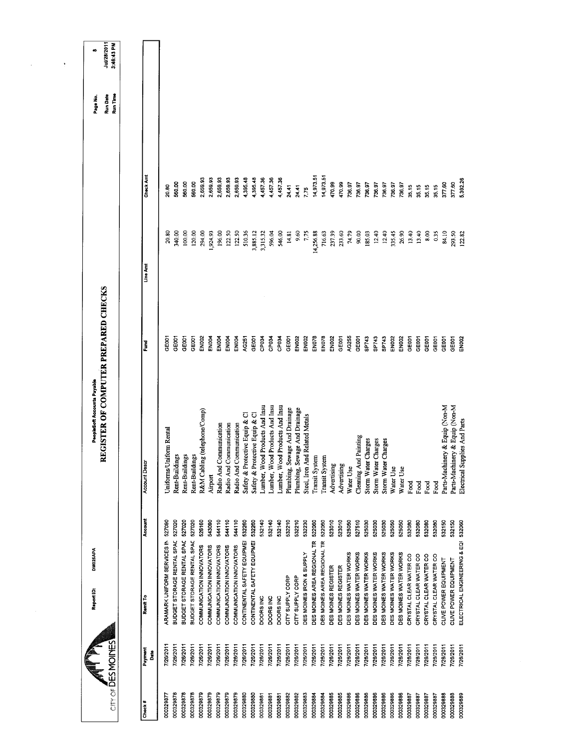| CITY OF DES MOINES                               | Report ID:                                                | DM025APA |                  | REGISTER OF COMPUTER PREPARED CHECKS<br>PeopleSoft Accounts Payable |                       |                  |                      | Run Time<br>Run Date<br>Page No. | <b>1ul/28/2011</b><br>3:46:43 PM<br>œ |
|--------------------------------------------------|-----------------------------------------------------------|----------|------------------|---------------------------------------------------------------------|-----------------------|------------------|----------------------|----------------------------------|---------------------------------------|
| Payment<br>å<br>Check#                           | Remit To                                                  |          | Account          | <b>Account Desc</b>                                                 | Fund                  | Line Amt         | Check Amt            |                                  |                                       |
|                                                  |                                                           |          |                  |                                                                     |                       |                  |                      |                                  |                                       |
| 7/26/2011<br>7/26/2011<br>000329878<br>000329877 | ARAMARK UNIFORM SERVICES IN<br>BUDGET STORAGE RENTAL SPAC |          | 527020<br>527090 | Uniforms/Uniform Rental<br>Rent-Buildings                           | GE001<br>3E001        | 20.80<br>340.00  | 560.00<br>20.80      |                                  |                                       |
| 7/26/2011<br>000329878                           | BUDGET STORAGE RENTAL SPAC                                |          | 527020           | Rent-Buildings                                                      | GE001                 | 100.00           | 560.00               |                                  |                                       |
| 7/26/2011<br>000329878                           | BUDGET STORAGE RENTAL SPAC                                |          | 527020           | Rent-Buildings                                                      | GE001                 | 120.00           | 560.00               |                                  |                                       |
| 7/26/2011<br>000329879                           | COMMUNICATION INNOVATORS                                  |          | 526160           | R&M Cabling (telephone/Comp)                                        | EN <sub>DO2</sub>     | 294.00           | 2,659.93             |                                  |                                       |
| 7/26/2011<br>000329879                           | COMMUNICATION INNOVATORS                                  |          | 543090           | Airport                                                             | EN004                 | 1,924.93         | 2,659.93             |                                  |                                       |
| 7/26/2011<br>7/26/2011<br>000329879<br>000329879 | COMMUNICATION INNOVATORS                                  |          | 544110           | Radio And Communication                                             | <b>EN004</b>          | 196.00           | 2,659.93             |                                  |                                       |
| 7/26/2011<br>000329879                           | COMMUNICATION INNOVATORS<br>COMMUNICATION INNOVATORS      |          | 544110<br>544110 | Radio And Communication<br>Radio And Communication                  | EN004<br>EN004        | 122.50<br>122.50 | 2,659.93<br>2,659.93 |                                  |                                       |
| 7/26/2011<br>000329880                           | CONTINENTAL SAFETY EQUIPMEI                               |          | 532260           | Safety & Protective Equip & Cl                                      | AG251                 | 510.36           | 4,395.48             |                                  |                                       |
| 7/26/2011<br>000329880                           | CONTINENTAL SAFETY EQUIPMEI                               |          | 532260           | Safety & Protective Equip & Cl                                      | GE001                 | 3,885.12         | 4,395.48             |                                  |                                       |
| 7/26/2011<br>000329881                           | DOORS INC                                                 |          | 532140           | Lumber, Wood Products And Insu                                      | CP034                 | 3,315.32         | 4,457.36             |                                  |                                       |
| 7/26/2011<br>000329881                           | DOORS INC                                                 |          | 532140           | Lumber, Wood Products And Insu                                      | CP <sub>034</sub>     | 596.04           | 4,457.36             |                                  |                                       |
| 7/26/2011<br>000329881                           | DOORS INC                                                 |          | 532140           | Lumber, Wood Products And Insu                                      | CP034                 | 546.00           | 4,457.36             |                                  |                                       |
| 7/26/2011<br>7/26/2011<br>000329882<br>000329882 | CITY SUPPLY CORP<br>CITY SUPPLY CORP                      |          | 532210<br>532210 | Plumbing, Sewage And Drainage                                       | GEODT<br><b>EN002</b> | 14.81            | 24.41                |                                  |                                       |
| 7/26/2011<br>000329883                           | DES MOINES IRON & SUPPLY                                  |          | 532230           | Plumbing, Sewage And Drainage<br>Steel, Iron And Related Metals     | <b>EN002</b>          | 7.75<br>9.60     | 24.41<br>7.75        |                                  |                                       |
| 7/26/2011<br>000329884                           | DES MOINES AREA REGIONAL TR                               |          | 522060           | Transit System                                                      | <b>EN078</b>          | 14,256.88        | 14,973.51            |                                  |                                       |
| 7/26/2011<br>000329884                           | DES MOINES AREA REGIONAL TR                               |          | 522060           | Transit System                                                      | <b>EN078</b>          | 716.63           | 14,973.51            |                                  |                                       |
| 7/26/2011<br>000329885                           | DES MOINES REGISTER                                       |          | 523010           | Advertising                                                         | <b>EN002</b>          | 237.39           | 470.99               |                                  |                                       |
| 7/26/2011<br>7/26/2011<br>000329885<br>000329886 | DES MOINES WATER WORKS<br>DES MOINES REGISTER             |          | 523010<br>525050 | Advertising<br>Water Use                                            | AG255<br>GEOOT        | 233.60<br>74.79  | 470.99<br>736.97     |                                  |                                       |
| 7/26/2011<br>000329886                           | DES MOINES WATER WORKS                                    |          | 527510           | Cleaning And Painting                                               | GE001                 | 90.00            | 736.97               |                                  |                                       |
| //26/2011<br>000329886                           | DES MOINES WATER WORKS                                    |          | 525030           | Storm Water Charges                                                 | SP743                 | 185.03           | 736.97               |                                  |                                       |
| 126/2011<br>000329886                            | DES MOINES WATER WORKS                                    |          | 525030           | Charges<br>Storm Water                                              | SP743                 | 12.40            | 736.97               |                                  |                                       |
| 7/26/2011<br>000329886                           | DES MOINES WATER WORKS                                    |          | 525030           | r Charges<br>Storm Water                                            | SP743                 | 12.40            | 736.97               |                                  |                                       |
| 7/26/2011<br>000329886                           | DES MOINES WATER WORKS                                    |          | 525050           | Water Use                                                           | <b>EN002</b>          | 335.45           | 736.97               |                                  |                                       |
| 7/26/2011<br>000329886                           | DES MOINES WATER WORKS                                    |          | 525050           | Water Use                                                           | EN002                 | 26.90            | 736.97               |                                  |                                       |
| 7/26/2011<br>000329887                           | CRYSTAL CLEAR WATER CO<br>CRYSTAL CLEAR WATER CO          |          | 532080           | Food                                                                | GEOOT                 | 13.40            | 35.15                |                                  |                                       |
| 7/28/2011<br>7/26/2011<br>000329887<br>000329887 | CRYSTAL CLEAR WATER CO                                    |          | 532080<br>532080 | Food<br>Food                                                        | GE001<br>GE001        | 13.40<br>8.00    | 35.15<br>35.15       |                                  |                                       |
| 7/26/2011<br>000329887                           | CRYSTAL CLEAR WATER CO                                    |          | 532080           | Food                                                                | GE001                 | 0.35             | 35.15                |                                  |                                       |
| 7/26/2011<br>000329888                           | CLIVE POWER EQUIPMENT                                     |          | 532150           | Parts-Machinery & Equip (Non-M                                      | GE <sub>001</sub>     | 84.10            | 377.60               |                                  |                                       |
| 7/26/2011<br>000329888                           | CLIVE POWER EQUIPMENT                                     |          | 532150           | Parts-Machinery & Equip (Non-M                                      | GE <sub>001</sub>     | 293,50           | 377.60               |                                  |                                       |
| 7/26/2011<br>000329889                           |                                                           |          |                  |                                                                     |                       |                  |                      |                                  |                                       |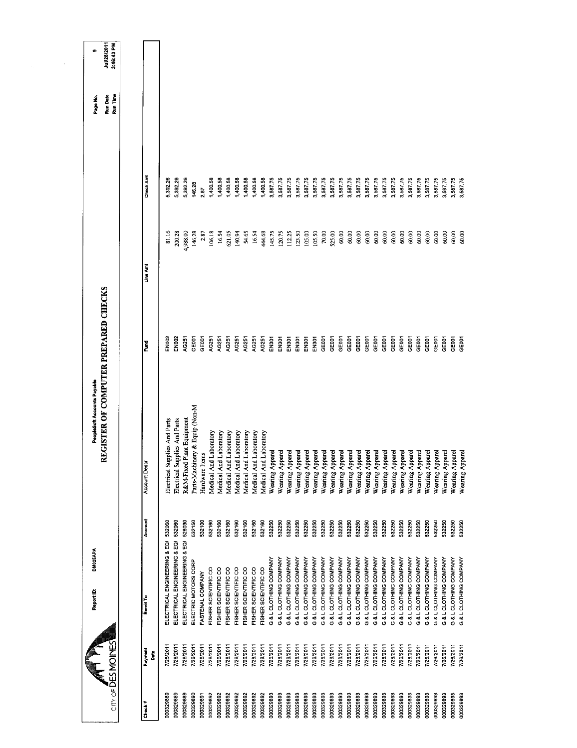| Check Amt<br>5,392.26<br>5,392.26<br>1,400.58<br>1,400.58<br>1,400.58<br>3,587.75<br>3,587.75<br>3,587.75<br>3,587.75<br>3,587.75<br>3,587.75<br>3,587.75<br>3,587.75<br>3,587.75<br>3,587.75<br>3,587.75<br>3,587.75<br>5,392.26<br>1,400.58<br>1,400.58<br>1,400.58<br>1,400.58<br>3,587.75<br>3,587.75<br>3,587.75<br>3,587.75<br>3,587.75<br>3,587.75<br>3,587.75<br>3,587.75<br>3,58775<br>3,58775<br>3,587.75<br>146.28<br>2.87<br>81.16<br>200.28<br>4,988.00<br>106.18<br>123.50<br>105.00<br>70.00<br>525.00<br>60.00<br>60.00<br>60,00<br>60,00<br>60.00<br>60.00<br>60.00<br>146.28<br>2.87<br>16.54<br>140.94<br>54.65<br>16.54<br>145.75<br>112.25<br>105.50<br>60.00<br>60,00<br>60.00<br>60.00<br>60.00<br>60.00<br>60.00<br>621.05<br>444.68<br>120.75<br>60.00<br>Line Amt<br>AG251<br>GE001<br>GEOOT<br>GE001<br>GE001<br>EN <sub>002</sub><br>AG251<br>AG251<br>AG251<br>AG251<br>AG251<br><b>EN301</b><br>GE001<br>GEOCH<br>GE001<br>GE001<br>GE001<br>GEOOT<br>GEOOT<br>GE001<br>GE001<br>GEOOT<br>AG251<br>AG251<br>EN301<br>EN301<br>EN301<br>EN301<br>GE001<br>GED01<br>GE <sub>001</sub><br>GE001<br>EN <sub>002</sub><br>EN301<br>GE <sub>001</sub><br>Fund<br>Parts-Machinery & Equip (Non-M<br>R&M-Fixed Plant Equipment<br>Electrical Supplies And Parts<br>Electrical Supplies And Parts<br>Medical And Laboratory<br>Medical And Laboratory<br>Medical And Laboratory<br>Medical And Laboratory<br>Medical And Laboratory<br>Medical And Laboratory<br>Medical And Laboratory<br>Wearing Apparel<br>Wearing Apparel<br>Wearing Apparel<br>Wearing Apparel<br>Wearing Apparel<br>Wearing Apparel<br>Wearing Apparel<br>Wearing Apparel<br>Wearing Apparel<br>Wearing Apparel<br>Wearing Apparel<br>Wearing Apparel<br>Wearing Apparel<br>Wearing Apparel<br>Hardware Items<br>Wearing Apparel<br>Wearing Appare<br>Wearing Appare<br>Wearing Apparel<br>Wearing Appare<br>Wearing Apparel<br>Wearing Appare<br>Wearing Apparel<br>Wearing Appare<br>Account Descr<br>Account<br>526030<br>532060<br>532060<br>532150<br>532160<br>532160<br>532160<br>532160<br>532160<br>532160<br>532250<br>532250<br>532250<br>532250<br>532250<br>532250<br>532250<br>532250<br>532250<br>532250<br>532250<br>532250<br>532250<br>532250<br>532250<br>532250<br>532250<br>532250<br>532250<br>532250<br>532100<br>532160<br>532250<br>532250<br>532250<br>ELECTRICAL ENGINEERING & EQI<br>ELECTRICAL ENGINEERING & EQI<br>ELECTRICAL ENGINEERING & EQI<br>G&L CLOTHING COMPANY<br>G&L CLOTHING COMPANY<br>G & L CLOTHING COMPANY<br>G&L CLOTHING COMPANY<br>G & L CLOTHING COMPANY<br>G & L CLOTHING COMPANY<br>G & L CLOTHING COMPANY<br>G & L CLOTHING COMPANY<br>G & L CLOTHING COMPANY<br>G & L CLOTHING COMPANY<br>G & L CLOTHING COMPANY<br>G & L CLOTHING COMPANY<br>G & L CLOTHING COMPANY<br>G & L CLOTHING COMPANY<br>G & L CLOTHING COMPANY<br>G & L CLOTHING COMPANY<br>G & L CLOTHING COMPANY<br>G & L CLOTHING COMPANY<br>G & L CLOTHING COMPANY<br>G & L CLOTHING COMPANY<br>G & L CLOTHING COMPANY<br>G & L CLOTHING COMPANY<br>G & L CLOTHING COMPANY<br>ELECTRIC MOTORS CORP<br>FISHER SCIENTIFIC CO<br>FISHER SCIENTIFIC CO<br>FISHER SCIENTIFIC CO<br>FISHER SCIENTIFIC CO<br>FISHER SCIENTIFIC CO<br>FISHER SCIENTIFIC CO<br>FISHER SCIENTIFIC CO<br>FASTENAL COMPANY<br>Remit To<br>7/26/2011<br>//26/2011<br>7/26/2011<br>7/26/2011<br>7/26/2011<br>7/26/2011<br>7/26/2011<br>7/26/2011<br>7/26/2011<br>7/26/2011<br>778/2011<br>7/26/2011<br>726/2011<br>7/26/2011<br>7/26/2011<br>7/26/2011<br>7/26/2011<br>7/26/2011<br>7/26/2011<br>7/26/2011<br>7/26/2011<br>7/26/2011<br>7/26/2011<br>7/26/2011<br>726/2011<br>7/26/2011<br>7/26/2011<br>1/26/2011<br>7/26/2011<br>7/26/2011<br>7/26/2011<br>7/26/2011<br>//26/2011<br>7/26/2011<br>7/26/2011<br>Payment<br>Date | $CITY OF$ DES MOINES | DM025APA<br>Report ID: | REGISTER OF COMPUTER PREPARED CHECKS<br>PeopleSoft Accounts Payable |  | Run Date<br>Run Time<br>Page No. | Jul/28/2011<br>3:46:43 PM<br>œ |
|-----------------------------------------------------------------------------------------------------------------------------------------------------------------------------------------------------------------------------------------------------------------------------------------------------------------------------------------------------------------------------------------------------------------------------------------------------------------------------------------------------------------------------------------------------------------------------------------------------------------------------------------------------------------------------------------------------------------------------------------------------------------------------------------------------------------------------------------------------------------------------------------------------------------------------------------------------------------------------------------------------------------------------------------------------------------------------------------------------------------------------------------------------------------------------------------------------------------------------------------------------------------------------------------------------------------------------------------------------------------------------------------------------------------------------------------------------------------------------------------------------------------------------------------------------------------------------------------------------------------------------------------------------------------------------------------------------------------------------------------------------------------------------------------------------------------------------------------------------------------------------------------------------------------------------------------------------------------------------------------------------------------------------------------------------------------------------------------------------------------------------------------------------------------------------------------------------------------------------------------------------------------------------------------------------------------------------------------------------------------------------------------------------------------------------------------------------------------------------------------------------------------------------------------------------------------------------------------------------------------------------------------------------------------------------------------------------------------------------------------------------------------------------------------------------------------------------------------------------------------------------------------------------------------------------------------------------------------------------------------------------------------------------------------------------------------------------------------------------------------------------------------------------------------------------------------------------------------------------------------------------------------------------------------------------------------------------------------------------------------------------------------------------------------------------------------------------------------------------------------------------------------------------------------------------------------------------------------------------------------------------------------------------------------------------------------------------------------------------------------------------------------------------------------------------------------|----------------------|------------------------|---------------------------------------------------------------------|--|----------------------------------|--------------------------------|
|                                                                                                                                                                                                                                                                                                                                                                                                                                                                                                                                                                                                                                                                                                                                                                                                                                                                                                                                                                                                                                                                                                                                                                                                                                                                                                                                                                                                                                                                                                                                                                                                                                                                                                                                                                                                                                                                                                                                                                                                                                                                                                                                                                                                                                                                                                                                                                                                                                                                                                                                                                                                                                                                                                                                                                                                                                                                                                                                                                                                                                                                                                                                                                                                                                                                                                                                                                                                                                                                                                                                                                                                                                                                                                                                                                                                                 |                      |                        |                                                                     |  |                                  |                                |
| 000329889                                                                                                                                                                                                                                                                                                                                                                                                                                                                                                                                                                                                                                                                                                                                                                                                                                                                                                                                                                                                                                                                                                                                                                                                                                                                                                                                                                                                                                                                                                                                                                                                                                                                                                                                                                                                                                                                                                                                                                                                                                                                                                                                                                                                                                                                                                                                                                                                                                                                                                                                                                                                                                                                                                                                                                                                                                                                                                                                                                                                                                                                                                                                                                                                                                                                                                                                                                                                                                                                                                                                                                                                                                                                                                                                                                                                       | Check#               |                        |                                                                     |  |                                  |                                |
|                                                                                                                                                                                                                                                                                                                                                                                                                                                                                                                                                                                                                                                                                                                                                                                                                                                                                                                                                                                                                                                                                                                                                                                                                                                                                                                                                                                                                                                                                                                                                                                                                                                                                                                                                                                                                                                                                                                                                                                                                                                                                                                                                                                                                                                                                                                                                                                                                                                                                                                                                                                                                                                                                                                                                                                                                                                                                                                                                                                                                                                                                                                                                                                                                                                                                                                                                                                                                                                                                                                                                                                                                                                                                                                                                                                                                 |                      |                        |                                                                     |  |                                  |                                |
| 000329889                                                                                                                                                                                                                                                                                                                                                                                                                                                                                                                                                                                                                                                                                                                                                                                                                                                                                                                                                                                                                                                                                                                                                                                                                                                                                                                                                                                                                                                                                                                                                                                                                                                                                                                                                                                                                                                                                                                                                                                                                                                                                                                                                                                                                                                                                                                                                                                                                                                                                                                                                                                                                                                                                                                                                                                                                                                                                                                                                                                                                                                                                                                                                                                                                                                                                                                                                                                                                                                                                                                                                                                                                                                                                                                                                                                                       | 000329889            |                        |                                                                     |  |                                  |                                |
|                                                                                                                                                                                                                                                                                                                                                                                                                                                                                                                                                                                                                                                                                                                                                                                                                                                                                                                                                                                                                                                                                                                                                                                                                                                                                                                                                                                                                                                                                                                                                                                                                                                                                                                                                                                                                                                                                                                                                                                                                                                                                                                                                                                                                                                                                                                                                                                                                                                                                                                                                                                                                                                                                                                                                                                                                                                                                                                                                                                                                                                                                                                                                                                                                                                                                                                                                                                                                                                                                                                                                                                                                                                                                                                                                                                                                 |                      |                        |                                                                     |  |                                  |                                |
|                                                                                                                                                                                                                                                                                                                                                                                                                                                                                                                                                                                                                                                                                                                                                                                                                                                                                                                                                                                                                                                                                                                                                                                                                                                                                                                                                                                                                                                                                                                                                                                                                                                                                                                                                                                                                                                                                                                                                                                                                                                                                                                                                                                                                                                                                                                                                                                                                                                                                                                                                                                                                                                                                                                                                                                                                                                                                                                                                                                                                                                                                                                                                                                                                                                                                                                                                                                                                                                                                                                                                                                                                                                                                                                                                                                                                 | 068622000            |                        |                                                                     |  |                                  |                                |
|                                                                                                                                                                                                                                                                                                                                                                                                                                                                                                                                                                                                                                                                                                                                                                                                                                                                                                                                                                                                                                                                                                                                                                                                                                                                                                                                                                                                                                                                                                                                                                                                                                                                                                                                                                                                                                                                                                                                                                                                                                                                                                                                                                                                                                                                                                                                                                                                                                                                                                                                                                                                                                                                                                                                                                                                                                                                                                                                                                                                                                                                                                                                                                                                                                                                                                                                                                                                                                                                                                                                                                                                                                                                                                                                                                                                                 | 000329891            |                        |                                                                     |  |                                  |                                |
| 000329892<br>300329892                                                                                                                                                                                                                                                                                                                                                                                                                                                                                                                                                                                                                                                                                                                                                                                                                                                                                                                                                                                                                                                                                                                                                                                                                                                                                                                                                                                                                                                                                                                                                                                                                                                                                                                                                                                                                                                                                                                                                                                                                                                                                                                                                                                                                                                                                                                                                                                                                                                                                                                                                                                                                                                                                                                                                                                                                                                                                                                                                                                                                                                                                                                                                                                                                                                                                                                                                                                                                                                                                                                                                                                                                                                                                                                                                                                          | 000329892            |                        |                                                                     |  |                                  |                                |
|                                                                                                                                                                                                                                                                                                                                                                                                                                                                                                                                                                                                                                                                                                                                                                                                                                                                                                                                                                                                                                                                                                                                                                                                                                                                                                                                                                                                                                                                                                                                                                                                                                                                                                                                                                                                                                                                                                                                                                                                                                                                                                                                                                                                                                                                                                                                                                                                                                                                                                                                                                                                                                                                                                                                                                                                                                                                                                                                                                                                                                                                                                                                                                                                                                                                                                                                                                                                                                                                                                                                                                                                                                                                                                                                                                                                                 | 000329892            |                        |                                                                     |  |                                  |                                |
| 000329892<br>000329893<br>000329893<br>000329893<br>000329893<br>000329892<br>000329893                                                                                                                                                                                                                                                                                                                                                                                                                                                                                                                                                                                                                                                                                                                                                                                                                                                                                                                                                                                                                                                                                                                                                                                                                                                                                                                                                                                                                                                                                                                                                                                                                                                                                                                                                                                                                                                                                                                                                                                                                                                                                                                                                                                                                                                                                                                                                                                                                                                                                                                                                                                                                                                                                                                                                                                                                                                                                                                                                                                                                                                                                                                                                                                                                                                                                                                                                                                                                                                                                                                                                                                                                                                                                                                         |                      |                        |                                                                     |  |                                  |                                |
| 000329893<br>000329893<br>000329893<br>000329893<br>000329893<br>000329893<br>000329893<br>000329893<br>000329893<br>000329893<br>000329893<br>000329893<br>000329893<br>000329893<br>000329893<br>000329893<br>000329893<br>000329892                                                                                                                                                                                                                                                                                                                                                                                                                                                                                                                                                                                                                                                                                                                                                                                                                                                                                                                                                                                                                                                                                                                                                                                                                                                                                                                                                                                                                                                                                                                                                                                                                                                                                                                                                                                                                                                                                                                                                                                                                                                                                                                                                                                                                                                                                                                                                                                                                                                                                                                                                                                                                                                                                                                                                                                                                                                                                                                                                                                                                                                                                                                                                                                                                                                                                                                                                                                                                                                                                                                                                                          |                      |                        |                                                                     |  |                                  |                                |
| 000329893                                                                                                                                                                                                                                                                                                                                                                                                                                                                                                                                                                                                                                                                                                                                                                                                                                                                                                                                                                                                                                                                                                                                                                                                                                                                                                                                                                                                                                                                                                                                                                                                                                                                                                                                                                                                                                                                                                                                                                                                                                                                                                                                                                                                                                                                                                                                                                                                                                                                                                                                                                                                                                                                                                                                                                                                                                                                                                                                                                                                                                                                                                                                                                                                                                                                                                                                                                                                                                                                                                                                                                                                                                                                                                                                                                                                       |                      |                        |                                                                     |  |                                  |                                |
|                                                                                                                                                                                                                                                                                                                                                                                                                                                                                                                                                                                                                                                                                                                                                                                                                                                                                                                                                                                                                                                                                                                                                                                                                                                                                                                                                                                                                                                                                                                                                                                                                                                                                                                                                                                                                                                                                                                                                                                                                                                                                                                                                                                                                                                                                                                                                                                                                                                                                                                                                                                                                                                                                                                                                                                                                                                                                                                                                                                                                                                                                                                                                                                                                                                                                                                                                                                                                                                                                                                                                                                                                                                                                                                                                                                                                 |                      |                        |                                                                     |  |                                  |                                |
|                                                                                                                                                                                                                                                                                                                                                                                                                                                                                                                                                                                                                                                                                                                                                                                                                                                                                                                                                                                                                                                                                                                                                                                                                                                                                                                                                                                                                                                                                                                                                                                                                                                                                                                                                                                                                                                                                                                                                                                                                                                                                                                                                                                                                                                                                                                                                                                                                                                                                                                                                                                                                                                                                                                                                                                                                                                                                                                                                                                                                                                                                                                                                                                                                                                                                                                                                                                                                                                                                                                                                                                                                                                                                                                                                                                                                 |                      |                        |                                                                     |  |                                  |                                |
|                                                                                                                                                                                                                                                                                                                                                                                                                                                                                                                                                                                                                                                                                                                                                                                                                                                                                                                                                                                                                                                                                                                                                                                                                                                                                                                                                                                                                                                                                                                                                                                                                                                                                                                                                                                                                                                                                                                                                                                                                                                                                                                                                                                                                                                                                                                                                                                                                                                                                                                                                                                                                                                                                                                                                                                                                                                                                                                                                                                                                                                                                                                                                                                                                                                                                                                                                                                                                                                                                                                                                                                                                                                                                                                                                                                                                 |                      |                        |                                                                     |  |                                  |                                |
|                                                                                                                                                                                                                                                                                                                                                                                                                                                                                                                                                                                                                                                                                                                                                                                                                                                                                                                                                                                                                                                                                                                                                                                                                                                                                                                                                                                                                                                                                                                                                                                                                                                                                                                                                                                                                                                                                                                                                                                                                                                                                                                                                                                                                                                                                                                                                                                                                                                                                                                                                                                                                                                                                                                                                                                                                                                                                                                                                                                                                                                                                                                                                                                                                                                                                                                                                                                                                                                                                                                                                                                                                                                                                                                                                                                                                 |                      |                        |                                                                     |  |                                  |                                |
|                                                                                                                                                                                                                                                                                                                                                                                                                                                                                                                                                                                                                                                                                                                                                                                                                                                                                                                                                                                                                                                                                                                                                                                                                                                                                                                                                                                                                                                                                                                                                                                                                                                                                                                                                                                                                                                                                                                                                                                                                                                                                                                                                                                                                                                                                                                                                                                                                                                                                                                                                                                                                                                                                                                                                                                                                                                                                                                                                                                                                                                                                                                                                                                                                                                                                                                                                                                                                                                                                                                                                                                                                                                                                                                                                                                                                 |                      |                        |                                                                     |  |                                  |                                |
|                                                                                                                                                                                                                                                                                                                                                                                                                                                                                                                                                                                                                                                                                                                                                                                                                                                                                                                                                                                                                                                                                                                                                                                                                                                                                                                                                                                                                                                                                                                                                                                                                                                                                                                                                                                                                                                                                                                                                                                                                                                                                                                                                                                                                                                                                                                                                                                                                                                                                                                                                                                                                                                                                                                                                                                                                                                                                                                                                                                                                                                                                                                                                                                                                                                                                                                                                                                                                                                                                                                                                                                                                                                                                                                                                                                                                 |                      |                        |                                                                     |  |                                  |                                |
|                                                                                                                                                                                                                                                                                                                                                                                                                                                                                                                                                                                                                                                                                                                                                                                                                                                                                                                                                                                                                                                                                                                                                                                                                                                                                                                                                                                                                                                                                                                                                                                                                                                                                                                                                                                                                                                                                                                                                                                                                                                                                                                                                                                                                                                                                                                                                                                                                                                                                                                                                                                                                                                                                                                                                                                                                                                                                                                                                                                                                                                                                                                                                                                                                                                                                                                                                                                                                                                                                                                                                                                                                                                                                                                                                                                                                 |                      |                        |                                                                     |  |                                  |                                |
|                                                                                                                                                                                                                                                                                                                                                                                                                                                                                                                                                                                                                                                                                                                                                                                                                                                                                                                                                                                                                                                                                                                                                                                                                                                                                                                                                                                                                                                                                                                                                                                                                                                                                                                                                                                                                                                                                                                                                                                                                                                                                                                                                                                                                                                                                                                                                                                                                                                                                                                                                                                                                                                                                                                                                                                                                                                                                                                                                                                                                                                                                                                                                                                                                                                                                                                                                                                                                                                                                                                                                                                                                                                                                                                                                                                                                 |                      |                        |                                                                     |  |                                  |                                |
|                                                                                                                                                                                                                                                                                                                                                                                                                                                                                                                                                                                                                                                                                                                                                                                                                                                                                                                                                                                                                                                                                                                                                                                                                                                                                                                                                                                                                                                                                                                                                                                                                                                                                                                                                                                                                                                                                                                                                                                                                                                                                                                                                                                                                                                                                                                                                                                                                                                                                                                                                                                                                                                                                                                                                                                                                                                                                                                                                                                                                                                                                                                                                                                                                                                                                                                                                                                                                                                                                                                                                                                                                                                                                                                                                                                                                 |                      |                        |                                                                     |  |                                  |                                |
|                                                                                                                                                                                                                                                                                                                                                                                                                                                                                                                                                                                                                                                                                                                                                                                                                                                                                                                                                                                                                                                                                                                                                                                                                                                                                                                                                                                                                                                                                                                                                                                                                                                                                                                                                                                                                                                                                                                                                                                                                                                                                                                                                                                                                                                                                                                                                                                                                                                                                                                                                                                                                                                                                                                                                                                                                                                                                                                                                                                                                                                                                                                                                                                                                                                                                                                                                                                                                                                                                                                                                                                                                                                                                                                                                                                                                 |                      |                        |                                                                     |  |                                  |                                |
|                                                                                                                                                                                                                                                                                                                                                                                                                                                                                                                                                                                                                                                                                                                                                                                                                                                                                                                                                                                                                                                                                                                                                                                                                                                                                                                                                                                                                                                                                                                                                                                                                                                                                                                                                                                                                                                                                                                                                                                                                                                                                                                                                                                                                                                                                                                                                                                                                                                                                                                                                                                                                                                                                                                                                                                                                                                                                                                                                                                                                                                                                                                                                                                                                                                                                                                                                                                                                                                                                                                                                                                                                                                                                                                                                                                                                 |                      |                        |                                                                     |  |                                  |                                |
|                                                                                                                                                                                                                                                                                                                                                                                                                                                                                                                                                                                                                                                                                                                                                                                                                                                                                                                                                                                                                                                                                                                                                                                                                                                                                                                                                                                                                                                                                                                                                                                                                                                                                                                                                                                                                                                                                                                                                                                                                                                                                                                                                                                                                                                                                                                                                                                                                                                                                                                                                                                                                                                                                                                                                                                                                                                                                                                                                                                                                                                                                                                                                                                                                                                                                                                                                                                                                                                                                                                                                                                                                                                                                                                                                                                                                 |                      |                        |                                                                     |  |                                  |                                |
|                                                                                                                                                                                                                                                                                                                                                                                                                                                                                                                                                                                                                                                                                                                                                                                                                                                                                                                                                                                                                                                                                                                                                                                                                                                                                                                                                                                                                                                                                                                                                                                                                                                                                                                                                                                                                                                                                                                                                                                                                                                                                                                                                                                                                                                                                                                                                                                                                                                                                                                                                                                                                                                                                                                                                                                                                                                                                                                                                                                                                                                                                                                                                                                                                                                                                                                                                                                                                                                                                                                                                                                                                                                                                                                                                                                                                 |                      |                        |                                                                     |  |                                  |                                |
|                                                                                                                                                                                                                                                                                                                                                                                                                                                                                                                                                                                                                                                                                                                                                                                                                                                                                                                                                                                                                                                                                                                                                                                                                                                                                                                                                                                                                                                                                                                                                                                                                                                                                                                                                                                                                                                                                                                                                                                                                                                                                                                                                                                                                                                                                                                                                                                                                                                                                                                                                                                                                                                                                                                                                                                                                                                                                                                                                                                                                                                                                                                                                                                                                                                                                                                                                                                                                                                                                                                                                                                                                                                                                                                                                                                                                 |                      |                        |                                                                     |  |                                  |                                |
|                                                                                                                                                                                                                                                                                                                                                                                                                                                                                                                                                                                                                                                                                                                                                                                                                                                                                                                                                                                                                                                                                                                                                                                                                                                                                                                                                                                                                                                                                                                                                                                                                                                                                                                                                                                                                                                                                                                                                                                                                                                                                                                                                                                                                                                                                                                                                                                                                                                                                                                                                                                                                                                                                                                                                                                                                                                                                                                                                                                                                                                                                                                                                                                                                                                                                                                                                                                                                                                                                                                                                                                                                                                                                                                                                                                                                 |                      |                        |                                                                     |  |                                  |                                |
|                                                                                                                                                                                                                                                                                                                                                                                                                                                                                                                                                                                                                                                                                                                                                                                                                                                                                                                                                                                                                                                                                                                                                                                                                                                                                                                                                                                                                                                                                                                                                                                                                                                                                                                                                                                                                                                                                                                                                                                                                                                                                                                                                                                                                                                                                                                                                                                                                                                                                                                                                                                                                                                                                                                                                                                                                                                                                                                                                                                                                                                                                                                                                                                                                                                                                                                                                                                                                                                                                                                                                                                                                                                                                                                                                                                                                 |                      |                        |                                                                     |  |                                  |                                |
|                                                                                                                                                                                                                                                                                                                                                                                                                                                                                                                                                                                                                                                                                                                                                                                                                                                                                                                                                                                                                                                                                                                                                                                                                                                                                                                                                                                                                                                                                                                                                                                                                                                                                                                                                                                                                                                                                                                                                                                                                                                                                                                                                                                                                                                                                                                                                                                                                                                                                                                                                                                                                                                                                                                                                                                                                                                                                                                                                                                                                                                                                                                                                                                                                                                                                                                                                                                                                                                                                                                                                                                                                                                                                                                                                                                                                 |                      |                        |                                                                     |  |                                  |                                |
|                                                                                                                                                                                                                                                                                                                                                                                                                                                                                                                                                                                                                                                                                                                                                                                                                                                                                                                                                                                                                                                                                                                                                                                                                                                                                                                                                                                                                                                                                                                                                                                                                                                                                                                                                                                                                                                                                                                                                                                                                                                                                                                                                                                                                                                                                                                                                                                                                                                                                                                                                                                                                                                                                                                                                                                                                                                                                                                                                                                                                                                                                                                                                                                                                                                                                                                                                                                                                                                                                                                                                                                                                                                                                                                                                                                                                 |                      |                        |                                                                     |  |                                  |                                |
|                                                                                                                                                                                                                                                                                                                                                                                                                                                                                                                                                                                                                                                                                                                                                                                                                                                                                                                                                                                                                                                                                                                                                                                                                                                                                                                                                                                                                                                                                                                                                                                                                                                                                                                                                                                                                                                                                                                                                                                                                                                                                                                                                                                                                                                                                                                                                                                                                                                                                                                                                                                                                                                                                                                                                                                                                                                                                                                                                                                                                                                                                                                                                                                                                                                                                                                                                                                                                                                                                                                                                                                                                                                                                                                                                                                                                 |                      |                        |                                                                     |  |                                  |                                |
|                                                                                                                                                                                                                                                                                                                                                                                                                                                                                                                                                                                                                                                                                                                                                                                                                                                                                                                                                                                                                                                                                                                                                                                                                                                                                                                                                                                                                                                                                                                                                                                                                                                                                                                                                                                                                                                                                                                                                                                                                                                                                                                                                                                                                                                                                                                                                                                                                                                                                                                                                                                                                                                                                                                                                                                                                                                                                                                                                                                                                                                                                                                                                                                                                                                                                                                                                                                                                                                                                                                                                                                                                                                                                                                                                                                                                 |                      |                        |                                                                     |  |                                  |                                |
|                                                                                                                                                                                                                                                                                                                                                                                                                                                                                                                                                                                                                                                                                                                                                                                                                                                                                                                                                                                                                                                                                                                                                                                                                                                                                                                                                                                                                                                                                                                                                                                                                                                                                                                                                                                                                                                                                                                                                                                                                                                                                                                                                                                                                                                                                                                                                                                                                                                                                                                                                                                                                                                                                                                                                                                                                                                                                                                                                                                                                                                                                                                                                                                                                                                                                                                                                                                                                                                                                                                                                                                                                                                                                                                                                                                                                 |                      |                        |                                                                     |  |                                  |                                |
|                                                                                                                                                                                                                                                                                                                                                                                                                                                                                                                                                                                                                                                                                                                                                                                                                                                                                                                                                                                                                                                                                                                                                                                                                                                                                                                                                                                                                                                                                                                                                                                                                                                                                                                                                                                                                                                                                                                                                                                                                                                                                                                                                                                                                                                                                                                                                                                                                                                                                                                                                                                                                                                                                                                                                                                                                                                                                                                                                                                                                                                                                                                                                                                                                                                                                                                                                                                                                                                                                                                                                                                                                                                                                                                                                                                                                 |                      |                        |                                                                     |  |                                  |                                |
|                                                                                                                                                                                                                                                                                                                                                                                                                                                                                                                                                                                                                                                                                                                                                                                                                                                                                                                                                                                                                                                                                                                                                                                                                                                                                                                                                                                                                                                                                                                                                                                                                                                                                                                                                                                                                                                                                                                                                                                                                                                                                                                                                                                                                                                                                                                                                                                                                                                                                                                                                                                                                                                                                                                                                                                                                                                                                                                                                                                                                                                                                                                                                                                                                                                                                                                                                                                                                                                                                                                                                                                                                                                                                                                                                                                                                 |                      |                        |                                                                     |  |                                  |                                |
|                                                                                                                                                                                                                                                                                                                                                                                                                                                                                                                                                                                                                                                                                                                                                                                                                                                                                                                                                                                                                                                                                                                                                                                                                                                                                                                                                                                                                                                                                                                                                                                                                                                                                                                                                                                                                                                                                                                                                                                                                                                                                                                                                                                                                                                                                                                                                                                                                                                                                                                                                                                                                                                                                                                                                                                                                                                                                                                                                                                                                                                                                                                                                                                                                                                                                                                                                                                                                                                                                                                                                                                                                                                                                                                                                                                                                 |                      |                        |                                                                     |  |                                  |                                |
|                                                                                                                                                                                                                                                                                                                                                                                                                                                                                                                                                                                                                                                                                                                                                                                                                                                                                                                                                                                                                                                                                                                                                                                                                                                                                                                                                                                                                                                                                                                                                                                                                                                                                                                                                                                                                                                                                                                                                                                                                                                                                                                                                                                                                                                                                                                                                                                                                                                                                                                                                                                                                                                                                                                                                                                                                                                                                                                                                                                                                                                                                                                                                                                                                                                                                                                                                                                                                                                                                                                                                                                                                                                                                                                                                                                                                 |                      |                        |                                                                     |  |                                  |                                |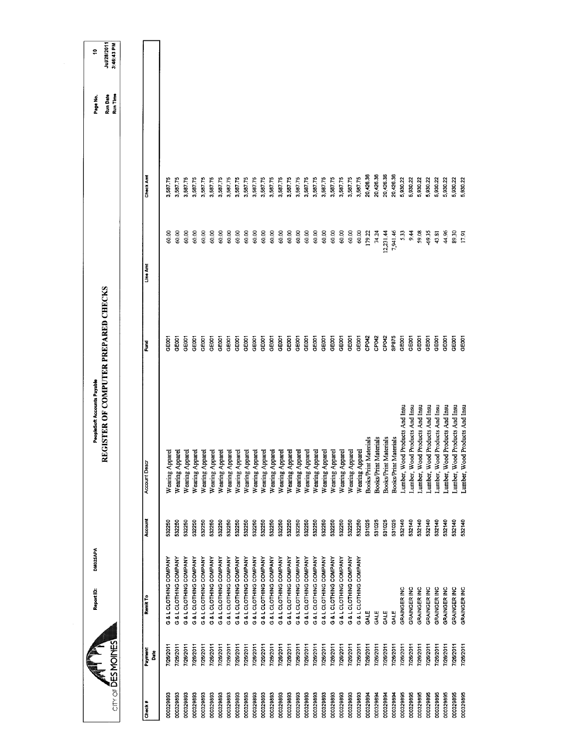| CITY OF DES MOINES                | <b>DM025APA</b><br>Report ID: |         | REGISTER OF COMPUTER PREPARED CHECKS<br>PeopleSoft Accounts Payable |                   |           |           | Run Time<br>Run Date<br>Page No. | Jul/28/2011<br>3:46:43 PM<br>÷ |
|-----------------------------------|-------------------------------|---------|---------------------------------------------------------------------|-------------------|-----------|-----------|----------------------------------|--------------------------------|
|                                   |                               |         |                                                                     |                   |           |           |                                  |                                |
| Payment<br><b>Bate</b><br>Check # | Remit To                      | Account | <b>Account Descr</b>                                                | Fund              | Line Amt  | Check Amt |                                  |                                |
| 7/26/2011<br>000329893            | G & L CLOTHING COMPANY        | 532250  | Wearing Appare                                                      | GE001             | 60.00     | 3,587.75  |                                  |                                |
| 7/26/2011<br>000329893            | G & L CLOTHING COMPANY        | 532250  | Wearing Apparel                                                     | GE001             | 60,00     | 3,587.75  |                                  |                                |
| 126/2011<br>000329893             | G & L CLOTHING COMPANY        | 532250  | Wearing Apparel                                                     | GE001             | 60.00     | 3,587.75  |                                  |                                |
| 7/28/2011<br>000329893            | G & L CLOTHING COMPANY        | 532250  | Wearing Apparel                                                     | GEOOT             | 60,00     | 3,587.75  |                                  |                                |
| 1/26/2011<br>000329893            | G & L CLOTHING COMPANY        | 532250  | Wearing Appare                                                      | GE001             | 60.00     | 3,587.75  |                                  |                                |
| 7/26/2011<br>000329893            | G & L CLOTHING COMPANY        | 532250  | Wearing Apparel                                                     | GEOOT             | 60,00     | 3,587.75  |                                  |                                |
| 7/26/2011<br>000329893            | G & L CLOTHING COMPANY        | 532250  | Wearing Apparel                                                     | GE001             | 60.00     | 3,587.75  |                                  |                                |
| 7/26/2011<br>000329893            | G & L CLOTHING COMPANY        | 532250  | Wearing Apparel                                                     | GE001             | 60.00     | 3,587.75  |                                  |                                |
| 7/26/2011<br>000329893            | G & L CLOTHING COMPANY        | 532250  | Wearing Appare                                                      | GE001             | 60.00     | 3,58775   |                                  |                                |
| //26/2011<br>000329893            | G & L CLOTHING COMPANY        | 532250  | Wearing Apparel                                                     | GE001             | 60.00     | 3,587.75  |                                  |                                |
| 7/28/2011<br>000329893            | G & L CLOTHING COMPANY        | 532250  | Wearing Apparel                                                     | GE001             | 60,00     | 3,587.75  |                                  |                                |
| //26/2011<br>000329893            | G & L CLOTHING COMPANY        | 532250  | Wearing Apparel                                                     | GE001             | 60.00     | 3,587.75  |                                  |                                |
| 7/26/2011<br>000329893            | G & L CLOTHING COMPANY        | 532250  | Wearing Apparel                                                     | GE001             | 60.00     | 3,587.75  |                                  |                                |
| 7/26/2011<br>000329893            | G & L CLOTHING COMPANY        | 532250  | Wearing Apparel                                                     | GE001             | 60.00     | 3,587.75  |                                  |                                |
| 7/26/2011<br>000329893            | G& L CLOTHING COMPANY         | 532250  | Wearing Apparel                                                     | GE001             | 60.00     | 3.58775   |                                  |                                |
| 7/26/2011<br>000329893            | G & L CLOTHING COMPANY        | 532250  | Wearing Apparel                                                     | GE001             | 60.00     | 3,587.75  |                                  |                                |
| 7/26/2011<br>000329893            | G & L CLOTHING COMPANY        | 532250  | Wearing Apparel                                                     | GE001             | 60,00     | 3,587.75  |                                  |                                |
| 7/26/2011<br>000329893            | G & L CLOTHING COMPANY        | 532250  | Wearing Apparel                                                     | GE001             | 60.00     | 3,587.75  |                                  |                                |
| 7/26/2011<br>000329893            | G & L CLOTHING COMPANY        | 532250  | Wearing Apparel                                                     | GE001             | 60.00     | 3,58775   |                                  |                                |
| 726/2011<br>000329893             | G & L CLOTHING COMPANY        | 532250  | Wearing Apparel                                                     | GE001             | 60.00     | 3,587.75  |                                  |                                |
| 7/26/2011<br>000329893            | G & L CLOTHING COMPANY        | 532250  | Wearing Apparel                                                     | GE001             | 60.00     | 3,587.75  |                                  |                                |
| 7/26/2011<br>000329893            | G & L CLOTHING COMPANY        | 532250  | Wearing Apparel                                                     | GE001             | 60.00     | 3,587.75  |                                  |                                |
| 7/26/2011<br>000329893            | G & L CLOTHING COMPANY        | 532250  | Wearing Apparel                                                     | GEOOT             | 60.00     | 3,587.75  |                                  |                                |
| 7/26/2011<br>000329894            | GALE                          | 531025  | <b>Books/Print Materials</b>                                        | CP042             | 179.22    | 20,426.36 |                                  |                                |
| 7/26/2011<br>000329894            | GALE                          | 531025  | Books/Print Materials                                               | CP042             | 74.24     | 20,426.36 |                                  |                                |
| 7/26/2011<br>000329894            | GALE                          | 531025  | Materials<br><b>Books/Print</b>                                     | CP042             | 12,231.44 | 20,426.36 |                                  |                                |
| //26/2011<br>000329894            | <b>GALE</b>                   | 531025  | Materials<br><b>Books/Print</b>                                     | SP875             | 7,941.46  | 20,426.36 |                                  |                                |
| 7/26/2011<br>000329895            | GRAINGER INC                  | 532140  | Lumber, Wood Products And Insu                                      | GE001             | 5.33      | 5,930,22  |                                  |                                |
| 7/26/2011<br>000329895            | GRAINGER INC                  | 532140  | Lumber, Wood Products And Insu                                      | GE001             | 9.44      | 5,930 22  |                                  |                                |
| 7/26/2011<br>000329895            | GRAINGER INC                  | 532140  | Lumber, Wood Products And Insu                                      | GE001             | 59.08     | 5,930.22  |                                  |                                |
| 126/2011<br>000329895             | GRAINGER INC                  | 532140  | Lumber, Wood Products And Insu                                      | GE <sub>001</sub> | -69.35    | 5,930.22  |                                  |                                |
| 7/26/2011<br>000329895            | GRAINGER INC                  | 532140  | Lumber, Wood Products And Insu                                      | GE001             | 43.81     | 5,930 22  |                                  |                                |
| 1/26/2011<br>000329895            | <b>GRAINGER INC</b>           | 532140  | Lumber, Wood Products And Insu                                      | GE001             | 44.96     | 5,930.22  |                                  |                                |
| 126/2011<br>000329895             | GRAINGER INC                  | 532140  | Lumber, Wood Products And Insu                                      | GE001             | 89.30     | 5,930,22  |                                  |                                |
| 7/28/2011<br>000329895            | <b>GRAINGER INC</b>           | 532140  | Lumber, Wood Products And Insu                                      | GE001             | 17.91     | 5,930 22  |                                  |                                |
|                                   |                               |         |                                                                     |                   |           |           |                                  |                                |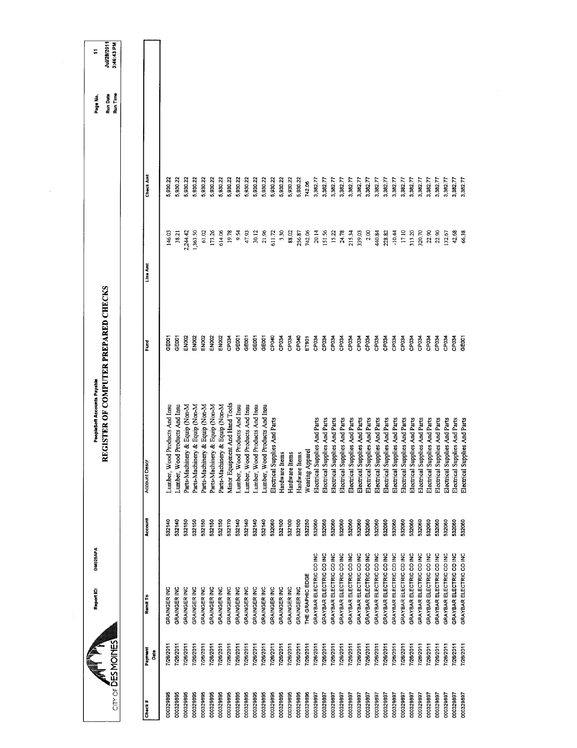| CITY OF DES MOINES |              | DM025APA<br>Report ID:  |         | REGISTER OF COMPUTER PREPARED CHECKS<br>PeopleSoft Accounts Payable |                    |          |                  | Run Date<br>Run Time<br>Page No. | Jul/28/2011<br>3:46:43 PM<br>÷ |
|--------------------|--------------|-------------------------|---------|---------------------------------------------------------------------|--------------------|----------|------------------|----------------------------------|--------------------------------|
|                    |              |                         |         |                                                                     |                    |          |                  |                                  |                                |
| Check #            | Payment<br>å | Remit To                | Account | Account Descr                                                       | č                  | Line Amt | <b>Check Amt</b> |                                  |                                |
| 000329895          | 7/26/2011    | GRAINGER INC            | 532140  | Lumber, Wood Products And Insu                                      | GEOOT              | 146.03   | 5,930.22         |                                  |                                |
| 000329895          | 7/26/2011    | GRAINGER INC            | 532140  | Lumber, Wood Products And Insu                                      | <b>GEOOT</b>       | 38.21    | 5,930.22         |                                  |                                |
| 000329895          | 7/26/2011    | GRAINGER INC            | 532150  | Parts-Machinery & Equip (Non-M                                      | EN <sub>002</sub>  | 2,244.42 | 5,930.22         |                                  |                                |
| 000329895          | 7/26/2011    | <b>GRAINGER INC</b>     | 532150  | Parts-Machinery & Equip (Non-M                                      | EN <sub>002</sub>  | 1,363.50 | 5,930.22         |                                  |                                |
| 000329895          | 7/26/2011    | GRAINGER INC            | 532150  | Parts-Machinery & Equip (Non-M                                      | EN <sub>DOZ</sub>  | 61.02    | 5,930.22         |                                  |                                |
| 000329895          | 7/26/2011    | GRAINGER INC            | 532150  | Parts-Machinery & Equip (Non-M                                      | EN002              | 173.26   | 5,930.22         |                                  |                                |
| 000329895          | 7/26/2011    | GRAINGER INC            | 532150  | Parts-Machinery & Equip (Non-M                                      | <b>EN002</b>       | 614.06   | 5,930,22         |                                  |                                |
| 000329895          | 7/26/2011    | GRAINGER INC            | 532170  | Minor Equipment And Hand Tools                                      | CP034              | 19.78    | 5,930.22         |                                  |                                |
| 000329895          | 7/26/2011    | GRAINGER INC            | 532140  | Lumber, Wood Products And Insu                                      | GEOOT              | 9.54     | 5,930.22         |                                  |                                |
| 000329895          | 7/26/2011    | GRAINGER INC            | 532140  | Lumber, Wood Products And Insu                                      | GEOOT              | 47.93    | 5,930.22         |                                  |                                |
| 000329895          | 7/26/2011    | <b>GRAINGER INC</b>     | 532140  | Lumber, Wood Products And Insu                                      | GEOCI              | 30.12    | 5,930.22         |                                  |                                |
| 000329895          | 7/26/2011    | GRAINGER INC            | 532140  | Lumber, Wood Products And Insu                                      | GEOOT              | 21.96    | 5,930.22         |                                  |                                |
| 000329895          | 7/26/2011    | GRAINGER INC            | 532060  | Electrical Supplies And Parts                                       | CP <sub>040</sub>  | 611.72   | 5,930.22         |                                  |                                |
| 000329895          | 7/26/2011    | GRAINGER INC            | 532100  | Hardware Items                                                      | CP <sub>034</sub>  | 3.30     | 5,930.22         |                                  |                                |
| 000329895          | 7/26/2011    | <b>GRAINGER INC</b>     | 532100  | Hardware Items                                                      | CP <sub>034</sub>  | 88.02    | 5,930.22         |                                  |                                |
| 000329895          | 7/26/2011    | <b>GRAINGER INC</b>     | 532100  | Hardware Items                                                      | CP <sub>O4</sub> 0 | 256.87   | 5,930.22         |                                  |                                |
| 000329896          | 7/26/2011    | THE GRAPHIC EDGE        | 532250  | Wearing Apparel                                                     | ET901              | 742.06   | 742.06           |                                  |                                |
| 000329897          | 7/26/2011    | GRAYBAR ELECTRIC CO INC | 532060  | Electrical Supplies And Parts                                       | CP034              | 20.14    | 3,382.77         |                                  |                                |
| 000329897          | 7/26/2011    | GRAYBAR ELECTRIC CO INC | 532060  | Electrical Supplies And Parts                                       | CP <sub>034</sub>  | 151.56   | 3,382.77         |                                  |                                |
| 000329897          | 7/26/2011    | GRAYBAR ELECTRIC CO INC | 532060  | Electrical Supplies And Parts                                       | CP <sub>034</sub>  | 15.22    | 3,382.77         |                                  |                                |
| 000329897          | 7/26/2011    | GRAYBAR ELECTRIC CO INC | 532060  | Electrical Supplies And Parts                                       | CP <sub>034</sub>  | 24.78    | 3,382.77         |                                  |                                |
| 100329897          | 1/26/2011    | GRAYBAR ELECTRIC CO INC | 532060  | Electrical Supplies And Parts                                       | CP034              | 215.34   | 3,382.77         |                                  |                                |
| 000329897          | 7/26/2011    | GRAYBAR ELECTRIC CO INC | 532060  | Electrical Supplies And Parts                                       | CP <sub>034</sub>  | 339.03   | 3,382.77         |                                  |                                |
| 000329897          | 7/26/2011    | GRAYBAR ELECTRIC CO INC | 532060  | Electrical Supplies And Parts                                       | CP <sub>034</sub>  | 2.00     | 3,382.77         |                                  |                                |
| 100329897          | 1/26/2011    | GRAYBAR ELECTRIC CO INC | 532060  | Electrical Supplies And Parts                                       | CP034              | 440.84   | 3,382.77         |                                  |                                |
| 000329897          | 7/26/2011    | GRAYBAR ELECTRIC CO INC | 532060  | Electrical Supplies And Parts                                       | CP <sub>034</sub>  | 228.82   | 3,382.77         |                                  |                                |
| 000329897          | 7/26/2011    | GRAYBAR ELECTRIC CO INC | 532060  | Electrical Supplies And Parts                                       | CP <sub>034</sub>  | $-10.44$ | 3,382.77         |                                  |                                |
| 168622000          | 1/26/2011    | GRAYBAR ELECTRIC CO INC | 532060  | Electrical Supplies And Parts                                       | CP034              | 17.10    | 3,382.77         |                                  |                                |
| 000329897          | 7/26/2011    | GRAYBAR ELECTRIC CO INC | 532060  | Electrical Supplies And Parts                                       | CP <sub>034</sub>  | 313.20   | 3,382.77         |                                  |                                |
| 000329897          | 7/26/2011    | GRAYBAR ELECTRIC CO INC | 532060  | Electrical Supplies And Parts                                       | CP034              | 320.70   | 3,382.77         |                                  |                                |
| 000329897          | 7/26/2011    | GRAYBAR ELECTRIC CO INC | 532060  | Electrical Supplies And Parts                                       | <b>RGdC</b>        | 22.90    | 3,382.77         |                                  |                                |
| 000329897          | 7/26/2011    | GRAYBAR ELECTRIC CO INC | 532060  | Electrical Supplies And Parts                                       | <b>PO34</b>        | 22.90    | 3,382.77         |                                  |                                |
| 000328897          | 7/26/2011    | GRAYBAR ELECTRIC CO INC | 532060  | Electrical Supplies And Parts                                       | <b>RGdC</b>        | 132.67   | 3,382.77         |                                  |                                |
| 000329897          | 7/26/2011    | GRAYBAR ELECTRIC CO INC | 532060  | Electrical Supplies And Parts                                       | CP <sub>034</sub>  | 42.68    | 3,382.77         |                                  |                                |
| 000329897          | 7/26/2011    | GRAYBAR ELECTRIC CO INC | 532060  | Electrical Supplies And Parts                                       | GEOOT              | 66.38    | 3,382.77         |                                  |                                |
|                    |              |                         |         |                                                                     |                    |          |                  |                                  |                                |

 $\sim$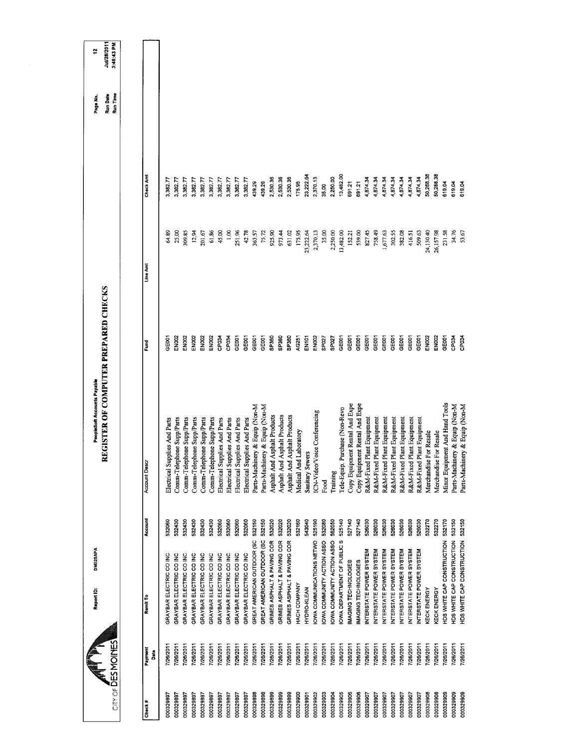| CITY OF DES MOINES        | DM025APA<br>Report ID:            |         | REGISTER OF COMPUTER PREPARED CHECKS<br>PeopleSoft Accounts Payable |                   |                 |           | <b>Run Date</b><br>Run Time<br>Page No. | Juli 28/2011<br>3:46:43 PM<br>2 |
|---------------------------|-----------------------------------|---------|---------------------------------------------------------------------|-------------------|-----------------|-----------|-----------------------------------------|---------------------------------|
|                           |                                   |         |                                                                     |                   |                 |           |                                         |                                 |
| Payment<br>Date<br>Check# | Ramit To                          | Account | Account Desc                                                        | Ēund              | Line Amt        | Check Amt |                                         |                                 |
| //26/2011<br>000328897    | GRAYBAR ELECTRIC CO INC           | 532060  | Electrical Supplies And Parts                                       | GEOOT             | 64.89           | 3,382.77  |                                         |                                 |
| 726/2011<br>000329897     | GRAYBAR ELECTRIC CO INC           | 532430  | Comm-Telephone Supp/Parts                                           | EN <sub>002</sub> | 25,00           | 3,382.77  |                                         |                                 |
| 7/26/2011<br>000329897    | GRAYBAR ELECTRIC CO INC           | 532430  | Comm-Telephone Supp/Parts                                           | <b>EN002</b>      | 309.85          | 3,382.77  |                                         |                                 |
| 7/26/2011<br>000329897    | GRAYBAR ELECTRIC CO INC           | 532430  | Comm-Telephone Supp/Parts                                           | <b>EN002</b>      | 12.94           | 3,382.77  |                                         |                                 |
| 1/26/2011<br>000329897    | GRAYBAR ELECTRIC CO INC           | 532430  | Comm-Telephone Supp/Parts                                           | EN <sub>DO</sub>  | 201.67          | 3,382.77  |                                         |                                 |
| 7/26/2011<br>000329897    | GRAYBAR ELECTRIC CO INC           | 532430  | Comm-Telephone Supp/Parts                                           | EN <sub>002</sub> | 61.86           | 3,382.77  |                                         |                                 |
| 7/26/2011<br>000329897    | GRAYBAR ELECTRIC CO INC           | 532060  | Electrical Supplies And Parts                                       | CP <sub>034</sub> | 45.00           | 3,382.77  |                                         |                                 |
| 1/26/2011<br>000329897    | GRAYBAR ELECTRIC CO INC           | 532060  | Electrical Supplies And Parts                                       | CP <sub>034</sub> | $\frac{8}{100}$ | 3,382.77  |                                         |                                 |
| 7/28/2011<br>000329897    | GRAYBAR ELECTRIC CO INC           | 532060  | Electrical Supplies And Parts                                       | GE001             | 251.96          | 3,382.77  |                                         |                                 |
| 7/26/2011<br>000329897    | GRAYBAR ELECTRIC CO INC           | 532060  | Electrical Supplies And Parts                                       | GE001             | 42.78           | 3,382.77  |                                         |                                 |
| 7/26/2011<br>000329898    | GREAT AMERICAN OUTDOOR (SC        | 532150  | Parts-Machinery & Equip (Non-M                                      | GEOO1             | 363.57          | 439.29    |                                         |                                 |
| //26/2011<br>000329898    | GREAT AMERICAN OUTDOOR (SC        | 532150  | Parts-Machinery & Equip (Non-M                                      | GE001             | 75.72           | 439.29    |                                         |                                 |
| 7/26/2011<br>000329899    | GRIMES ASPHALT & PAVING COR       | 532020  | Asphalt And Asphalt Products                                        | SP360             | 925.90          | 2,530.36  |                                         |                                 |
| 7/26/2011<br>000329899    | GRIMES ASPHALT & PAVING COR       | 532020  | Asphalt And Asphalt Products                                        | SP360             | 973.44          | 2,530.36  |                                         |                                 |
| 7/26/2011<br>000329899    | GRIMES ASPHALT & PAVING COR       | 532020  | Asphalt And Asphalt Products                                        | SP360             | 631.02          | 2,530.36  |                                         |                                 |
| 7/26/2011<br>000329900    | HACH COMPANY                      | 532160  | Medical And Laboratory                                              | AG251             | 175.95          | 175.95    |                                         |                                 |
| 7/26/2011<br>000329901    | <b>HYDRO-KLEAN</b>                | 543040  | Sanitary Sewers                                                     | EN <sub>101</sub> | 23,222.64       | 23,222.64 |                                         |                                 |
| 7/26/2011<br>000329902    | OWA COMMUNICATIONS NETWO          | 525190  | ICN-Video/Voice Conferencing                                        | <b>EN002</b>      | 2,370.13        | 2,370.13  |                                         |                                 |
| 7/26/2011<br>000329903    | IOWA COMMUNITY ACTION ASSO        | 532080  | Food                                                                | SP027             | 35.00           | 35.00     |                                         |                                 |
| 1/26/2011<br>000329904    | IOWA COMMUNITY ACTION ASSO        | 562050  | Training                                                            | SP027             | 2,250.00        | 2,250.00  |                                         |                                 |
| 7/26/2011<br>000329905    | IOWA DEPARTMENT OF PUBLICS        | 525140  | Purchase (Non-Revo<br>Tele-Equip.                                   | GE001             | 13,482.00       | 13,482.00 |                                         |                                 |
| 7/26/2011<br>000329906    | <b>IMAGING TECHNOLOGIES</b>       | 527140  | Copy Equipment Rental And Expe                                      | GE001             | 152.21          | 691.21    |                                         |                                 |
| 126/2011<br>000329906     | <b>MAGING TECHNOLOGIES</b>        | 527140  | Copy Equipment Rental And Expe                                      | GEOOT             | 539.00          | 691.21    |                                         |                                 |
| 7/26/2011<br>000329907    | INTERSTATE POWER SYSTEM           | 526030  | Plant Equipment<br>R&M-Fixed                                        | GE001             | 827.45          | 4,874.34  |                                         |                                 |
| 7/26/2011<br>000329907    | INTERSTATE POWER SYSTEM           | 526030  | Plant Equipment<br>R&M-Fixed                                        | GEOOT             | 758.49          | 4,874.34  |                                         |                                 |
| 126/2011<br>000329907     | INTERSTATE POWER SYSTEM           | 526030  | Plant Equipment<br>R&M-Fixed                                        | GEOOT             | .677.63         | 1,874.34  |                                         |                                 |
| 7/26/2011<br>000329907    | INTERSTATE POWER SYSTEM           | 526030  | Plant Equipment<br>R&M-Fixed                                        | GE001             | 302.55          | 4,874.34  |                                         |                                 |
| 7/26/2011<br>000329907    | INTERSTATE POWER SYSTEM           | 526030  | Plant Equipment<br>R&M-Fixed                                        | GEODT             | 382.08          | 4,874.34  |                                         |                                 |
| 126/2011<br>000329907     | INTERSTATE POWER SYSTEM           | 526030  | Plant Equipment<br>R&M-Fixed                                        | GEOOT             | 416.51          | 4,874.34  |                                         |                                 |
| 7/26/2011<br>000329907    | INTERSTATE POWER SYSTEM           | 526030  | Plant Equipment<br>R&M-Fixed                                        | GEOOT             | 509.63          | 4,874.34  |                                         |                                 |
| 7/26/2011<br>000329908    | KECK ENERGY                       | 532270  | Merchandise For Resale                                              | <b>EN002</b>      | 24,130.40       | 50,288.38 |                                         |                                 |
| 126/2011<br>000329908     | KECK ENERGY                       | 532270  | Merchandise For Resale                                              | EN <sub>002</sub> | 26,157.98       | 50,288.38 |                                         |                                 |
| 1/26/2011<br>000329909    | HDS WHITE CAP CONSTRUCTION        | 532170  | Minor Equipment And Hand Tools                                      | GEOOT             | 231.58          | 619.04    |                                         |                                 |
| 7/26/2011<br>000329909    | HDS WHITE CAP CONSTRUCTION 532150 |         | Parts-Machinery & Equip (Non-M                                      | CP034             | 34.76           | 619.04    |                                         |                                 |
| 7/26/2011<br>000329909    | HDS WHITE CAP CONSTRUCTION        | 532150  | Parts-Machinery & Equip (Non-M                                      | <b>PO34</b>       | 53.67           | 619.04    |                                         |                                 |
|                           |                                   |         |                                                                     |                   |                 |           |                                         |                                 |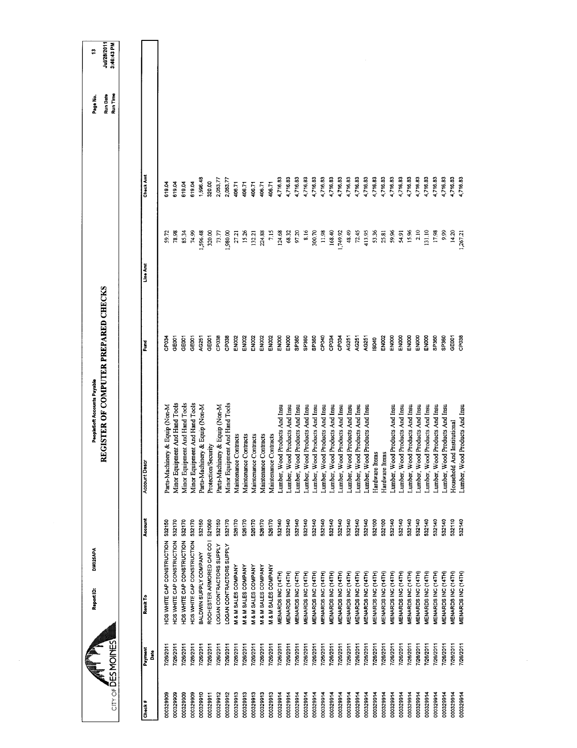| <b>CITY OF DES MOINES</b> |              | Report ID:                 | DM025APA | REGISTER OF COMPUTER PREPARED CHECKS<br>PeopleSoft Accounts Payable |                   |          |           | Run Date<br>Run Time<br>Page No. | Jul/28/2011<br>3:46:43 PM<br>÷ |
|---------------------------|--------------|----------------------------|----------|---------------------------------------------------------------------|-------------------|----------|-----------|----------------------------------|--------------------------------|
|                           |              |                            |          |                                                                     |                   |          |           |                                  |                                |
| Check#                    | Payment<br>Å | Remit <sub>To</sub>        | Account  | <b>Account Desc</b>                                                 | Fund              | Line Amt | Check And |                                  |                                |
| 000329909                 | 7/26/2011    | HDS WHITE CAP CONSTRUCTION | 532150   | Parts-Machinery & Equip (Non-M                                      | CP <sub>034</sub> | 59.72    | 619.04    |                                  |                                |
| 000329909                 | 7/26/2011    | HDS WHITE CAP CONSTRUCTION | 532170   | Minor Equipment And Hand Tools                                      | GE001             | 78.98    | 619.04    |                                  |                                |
| 000329909                 | 7/26/2011    | HDS WHITE CAP CONSTRUCTION | 532170   | Minor Equipment And Hand Tools                                      | GEOO1             | 85.34    | 619.04    |                                  |                                |
| 000329909                 | 7/26/2011    | HDS WHITE CAP CONSTRUCTION | 532170   | Minor Equipment And Hand Tools                                      | GE <sub>001</sub> | 74.99    | 619.04    |                                  |                                |
| 000329910                 | 7/26/2011    | BALDWIN SUPPLY COMPANY     | 532150   | Parts-Machinery & Equip (Non-M                                      | AG251             | 1,596.48 | 1,596.48  |                                  |                                |
| 000329911                 | 7/26/2011    | ROCHESTER ARMORED CAR CO   | 521060   | Protection/Security                                                 | <b>GEOOT</b>      | 320.00   | 320.00    |                                  |                                |
| 000329912                 | 7/26/2011    | LOGAN CONTRACTORS SUPPLY   | 532150   | Parts-Machinery & Equip (Non-M                                      | CP038             | 73.77    | 2,053.77  |                                  |                                |
| 000329912                 | 7/26/2011    | LOGAN CONTRACTORS SUPPLY   | 532170   | Minor Equipment And Hand Tools                                      | CP038             | 1,980.00 | 2,053.77  |                                  |                                |
| 000329913                 | 7/26/2011    | M & M SALES COMPANY        | 526170   | Maintenance Contracts                                               | <b>EN002</b>      | 27.21    | 406.71    |                                  |                                |
| 000329913                 | 7/26/2011    | M & M SALES COMPANY        | 526170   | Maintenance Contracts                                               | EN002             | 15.26    | 406.71    |                                  |                                |
| 000329913                 | 7/26/2011    | M & M SALES COMPANY        | 526170   | Maintenance Contracts                                               | <b>EN002</b>      | 132.21   | 406.71    |                                  |                                |
| 000329913                 | 7/26/2011    | M & M SALES COMPANY        | 526170   | Maintenance Contracts                                               | EN002             | 22488    | 406.71    |                                  |                                |
| 000329913                 | 7/26/2011    | M & M SALES COMPANY        | 526170   | Maintenance Contracts                                               | EN002             | 715      | 406.71    |                                  |                                |
| 000329914                 | 7/26/2011    | MENARDS INC (14TH)         | 532140   | Lumber, Wood Products And Insu                                      | ENOOO             | 124.68   | 4,716.83  |                                  |                                |
| 000329914                 | 776/2011     | MENARDS INC (14TH)         | 532140   | Lumber, Wood Products And Insu                                      | ENOOO             | 68.32    | 4,716.83  |                                  |                                |
| 000329914                 | 7/26/2011    | MENARDS INC (14TH)         | 532140   | Lumber, Wood Products And Insu                                      | SP360             | 97.20    | 4,716.83  |                                  |                                |
| 000329914                 | 1/26/2011    | MENARDS INC (14TH)         | 532140   | Lumber, Wood Products And Insu                                      | SP360             | 8.16     | 4,716.83  |                                  |                                |
| 000329914                 | 776/2011     | MENARDS INC (14TH)         | 532140   | Lumber, Wood Products And Insu                                      | SP360             | 300.70   | 4,716.83  |                                  |                                |
| 000329914                 | 7/26/2011    | MENARDS INC (14TH)         | 532140   | Lumber, Wood Products And Insu                                      | CP040             | 11.98    | 4,716.83  |                                  |                                |
| 000329914                 | 1/26/2011    | MENARDS INC (14TH)         | 532140   | Lumber, Wood Products And Insu                                      | CP034             | 168.40   | 4,716.83  |                                  |                                |
| 000329914                 | 1/26/2011    | MENARDS INC (14TH)         | 532140   | Lumber, Wood Products And Insu                                      | CP <sub>034</sub> | 1,749.92 | 4,716.83  |                                  |                                |
| 000329914                 | 1/26/2011    | MENARDS INC (14TH)         | 532140   | Lumber, Wood Products And Insu                                      | AG251             | 48.49    | 4,716.83  |                                  |                                |
| 000329914                 | 726/2011     | MENARDS INC (14TH)         | 532140   | Lumber, Wood Products And Insu                                      | AG251             | 72.45    | 4,716.83  |                                  |                                |
| 000329914                 | 126/2011     | MENARDS INC (14TH)         | 532140   | Lumber, Wood Products And Insu                                      | AC251             | 413.95   | 4,716.83  |                                  |                                |
| 000329914                 | 1/26/2011    | MENARDS INC (14TH)         | 532100   | Hardware Items                                                      | <b>SO40</b>       | 53.36    | 1,716.83  |                                  |                                |
| 000329914                 | 7/26/2011    | MENARDS INC (14TH)         | 532100   | Hardware Items                                                      | EN002             | 25.81    | 4,716.83  |                                  |                                |
| 000329914                 | 7/26/2011    | MENARDS INC (14TH)         | 532140   | Lumber, Wood Products And Insu                                      | ENDOD             | 59.96    | 4,716.83  |                                  |                                |
| 000329914                 | 726/2011     | <b>MENARDS INC (14TH)</b>  | 532140   | Lumber, Wood Products And Insu                                      | ENOOO             | 54.91    | 4,716.83  |                                  |                                |
| 000329914                 | 1/26/2011    | MENARDS INC (14TH)         | 532140   | Lumber, Wood Products And Insu                                      | EN000             | 15.96    | 4,716.83  |                                  |                                |
| 000329914                 | 7/28/2011    | MENARDS INC (14TH)         | 532140   | Lumber, Wood Products And Insu                                      | ENOOD             | 2.10     | 4,716.83  |                                  |                                |
| 000329914                 | 126/2011     | MENARDS INC (14TH)         | 532140   | Lumber, Wood Products And Insu                                      | ENOOO             | 131.10   | 4,716.83  |                                  |                                |
| 000329914                 | 726/2011     | MENARDS INC (14TH)         | 532140   | Lumber, Wood Products And Insu                                      | SP360             | 17.98    | 4,716.83  |                                  |                                |
| 000329914                 | 726/2011     | MENARDS INC (14TH)         | 532140   | Lumber, Wood Products And Insu                                      | SP360             | 9.99     | 1,716.83  |                                  |                                |
| 000329914                 | 726/2011     | MENARDS INC (14TH)         | 532110   | Household And Institutional                                         | GE001             | 14.20    | 4,716.83  |                                  |                                |
| 000329914                 | 7/26/2011    | MENARDS INC (14TH)         | 532140   | Lumber, Wood Products And Insu                                      | CP038             | 1,267.21 | 4,716.83  |                                  |                                |
|                           |              |                            |          |                                                                     |                   |          |           |                                  |                                |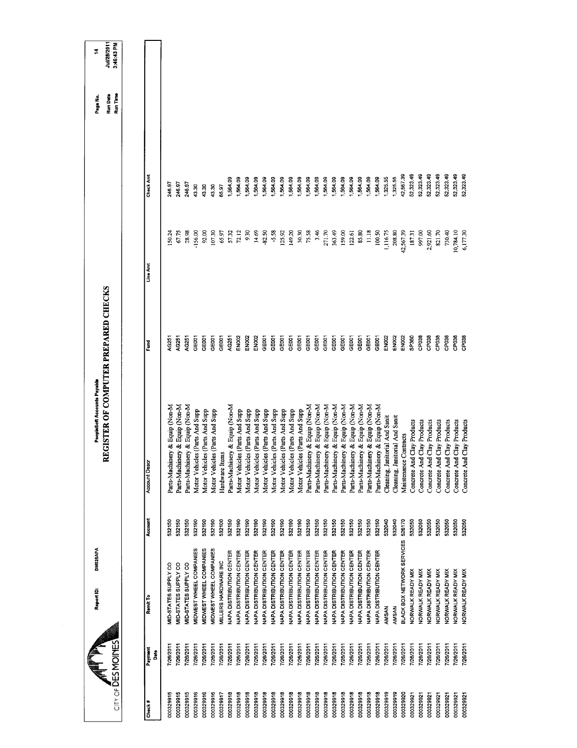| City of DES MOINES |                          | <b>DM025APA</b><br>Report ID:         |         | REGISTER OF COMPUTER PREPARED CHECKS<br>PeopleSoft Accounts Payable |                   |           |           | <b>Run Date</b><br>Run Time<br>Page No. | Jul/28/2011<br>3:46:43 PM<br>¥ |
|--------------------|--------------------------|---------------------------------------|---------|---------------------------------------------------------------------|-------------------|-----------|-----------|-----------------------------------------|--------------------------------|
|                    |                          |                                       |         |                                                                     |                   |           |           |                                         |                                |
| Check#             | Payment<br>នី            | Remit To                              | Account | <b>Account Descr</b>                                                | Eund              | Line Amt  | Check Amt |                                         |                                |
| 000329915          | 7/26/2011                | MID-STATES SUPPLY CO                  | 532150  | Parts-Machinery & Equip (Non-M                                      | AG251             | 150.24    | 246.97    |                                         |                                |
| 000329915          | 7/26/2011                | MID-STATES SUPPLY CO                  | 532150  | Parts-Machinery & Equip (Non-M                                      | AG251             | 67.75     | 246.97    |                                         |                                |
| 000329915          | 1/26/2011                | MID-STATES SUPPLY CO                  | 532150  | Parts-Machinery & Equip (Non-M                                      | <b>4G251</b>      | 28.98     | 246.97    |                                         |                                |
| 000329916          | 7/26/2011                | MIDWEST WHEEL COMPANIES               | 532190  | Motor Vehicles (Parts And Supp                                      | GE001             | $-156.00$ | 43.30     |                                         |                                |
| 000329916          | 7/26/2011                | MIDWEST WHEEL COMPANIES               | 532190  | Motor Vehicles (Parts And Supp                                      | GEOOT             | 92.00     | 43.30     |                                         |                                |
| 000329916          | 126/2011                 | <b><i>AIDWEST WHEEL COMPANIES</i></b> | 532190  | Motor Vehicles (Parts And Supp                                      | GE001             | 107.30    | 43.30     |                                         |                                |
| 000329917          | 7/26/2011                | MILLERS HARDWARE INC                  | 532100  | Hardware Items                                                      | GEOOT             | 65.97     | 65.97     |                                         |                                |
| 000329918          | 7/26/2011                | NAPA DISTRIBUTION CENTER              | 532150  | Parts-Machinery & Equip (Non-M                                      | AG251             | 57.32     | 1,564.09  |                                         |                                |
| 000329918          | 7/26/2011                | <b>VAPA DISTRIBUTION CENTER</b>       | 532190  | Motor Vehicles (Parts And Supp                                      | EN002             | 72.12     | 1,564.09  |                                         |                                |
| 000329918          | 7/26/2011                | NAPA DISTRIBUTION CENTER              | 532190  | Motor Vehicles (Parts And Supp                                      | <b>EN002</b>      | 9.30      | 1,564.09  |                                         |                                |
| 000329918          | 7/26/2011                | <b>VAPA DISTRIBUTION CENTER</b>       | 532190  | Motor Vehicles (Parts And Supp                                      | <b>EN002</b>      | 14.69     | 1,564.09  |                                         |                                |
| 000329918          | 7/26/2011                | <b>NAPA DISTRIBUTION CENTER</b>       | 532190  | Motor Vehicles (Parts And Supp                                      | GEOCT             | $-82.50$  | 1,564.09  |                                         |                                |
| 000329918          | 7/26/2011                | NAPA DISTRIBUTION CENTER              | 532190  | Motor Vehicles (Parts And Supp                                      | GEOOT             | $-5.58$   | 1,564.09  |                                         |                                |
| 000329918          | 7/26/2011                | NAPA DISTRIBUTION CENTER              | 532190  | Motor Vehicles (Parts And Supp                                      | GEOOT             | 125.92    | 1,564.09  |                                         |                                |
| 000329918          | 7/26/2011                | NAPA DISTRIBUTION CENTER              | 532190  | Motor Vehicles (Parts And Supp                                      | GEOOT             | 149.20    | 1,564.09  |                                         |                                |
| 000329918          | //26/2011                | <b>NAPA DISTRIBUTION CENTER</b>       | 532190  | Motor Vehicles (Parts And Supp                                      | GEOOT             | 30.30     | 564.09    |                                         |                                |
| 000329918          | 7/26/2011                | <b>NAPA DISTRIBUTION CENTER</b>       | 532150  | Parts-Machinery & Equip (Non-M                                      | GEOOT             | 75.58     | 1,564.09  |                                         |                                |
| 000329918          | 7/26/2011                | <b>VAPA DISTRIBUTION CENTER</b>       | 532150  | Parts-Machinery & Equip (Non-M                                      | GEOOT             | 3.46      | ,564.09   |                                         |                                |
| 000329918          | 778/2011                 | <b>NAPA DISTRIBUTION CENTER</b>       | 532150  | Parts-Machinery & Equip (Non-M                                      | GEOOT             | 271.70    | ,564.09   |                                         |                                |
| 000329918          | 7/26/2011                | <b>VAPA DISTRIBUTION CENTER</b>       | 532150  | Parts-Machinery & Equip (Non-M                                      | GE <sub>001</sub> | 363.49    | 1,564.09  |                                         |                                |
| 000329918          | 7/26/2011                | <b>NAPA DISTRIBUTION CENTER</b>       | 532150  | Parts-Machinery & Equip (Non-M                                      | GE001             | 159.00    | 1,564.09  |                                         |                                |
| 000329918          | //26/2011                | NAPA DISTRIBUTION CENTER              | 532150  | Parts-Machinery & Equip (Non-M                                      | GE001             | 122.61    | 1,564.09  |                                         |                                |
| 000329918          | 726/2011                 | <b>VAPA DISTRIBUTION CENTER</b>       | 532150  | Parts-Machinery & Equip (Non-M                                      | GEOOT             | 85.80     | 1,564.09  |                                         |                                |
| 000329918          | 7/26/2011                | <b>VAPA DISTRIBUTION CENTER</b>       | 532150  | Parts-Machinery & Equip (Non-M                                      | GE001             | 11.18     | 1,564.09  |                                         |                                |
| 000329918          | 7/26/2011                | NAPA DISTRIBUTION CENTER              | 532150  | Parts-Machinery & Equip (Non-M                                      | GE001             | 100.50    | 1,564.09  |                                         |                                |
| 000329919          | <b>AMSAN</b><br>126/2011 |                                       | 532040  | Cleaning, Janitorial And Sanit                                      | EN002             | 1,116.75  | 1,325.55  |                                         |                                |
| 000329919          | AMSAN<br>7/26/2011       |                                       | 532040  | anitorial And Sanit<br>Cleaning, J                                  | EN <sub>002</sub> | 208.80    | 1,325.55  |                                         |                                |
| 000329920          | 7/26/2011                | BLACK BOX NETWORK SERVICES            | 526170  | Maintenance Contracts                                               | EN002             | 42,567.39 | 12,567.39 |                                         |                                |
| 00032992           | 7/26/2011                | <b>NORWALK READY MIX</b>              | 532050  | Concrete And Clay Products                                          | SP360             | 187.31    | 52,323.49 |                                         |                                |
| 000329921          | 7/26/2011                | NORWALK READY MIX                     | 532050  | Concrete And Clay Products                                          | CP <sub>038</sub> | 997.00    | 52,323.49 |                                         |                                |
| 000329921          | 1/26/2011                | NORWALK READY MIX                     | 532050  | Concrete And Clay Products                                          | CP038             | 2,921.60  | 52,323.49 |                                         |                                |
| 000329921          | 7/26/2011                | <b>JORWALK READY MIX</b>              | 532050  | Concrete And Clay Products                                          | CP038             | 821.70    | 52,323.49 |                                         |                                |
| 000329921          | //26/2011                | NORWALK READY MIX                     | 532050  | Concrete And Clay Products                                          | CP038             | 730.40    | 52,323.49 |                                         |                                |
| 000329921          | 7/28/2011                | <b>VORWALK READY MIX</b>              | 532050  | Concrete And Clay Products                                          | CP038             | 0,784.10  | 52,323.49 |                                         |                                |
| 000329921          | 7/26/2011                | <b>VORWALK READY MIX</b>              | 532050  | Concrete And Clay Products                                          | CP038             | 6,177.30  | 52,323.49 |                                         |                                |
|                    |                          |                                       |         |                                                                     |                   |           |           |                                         |                                |